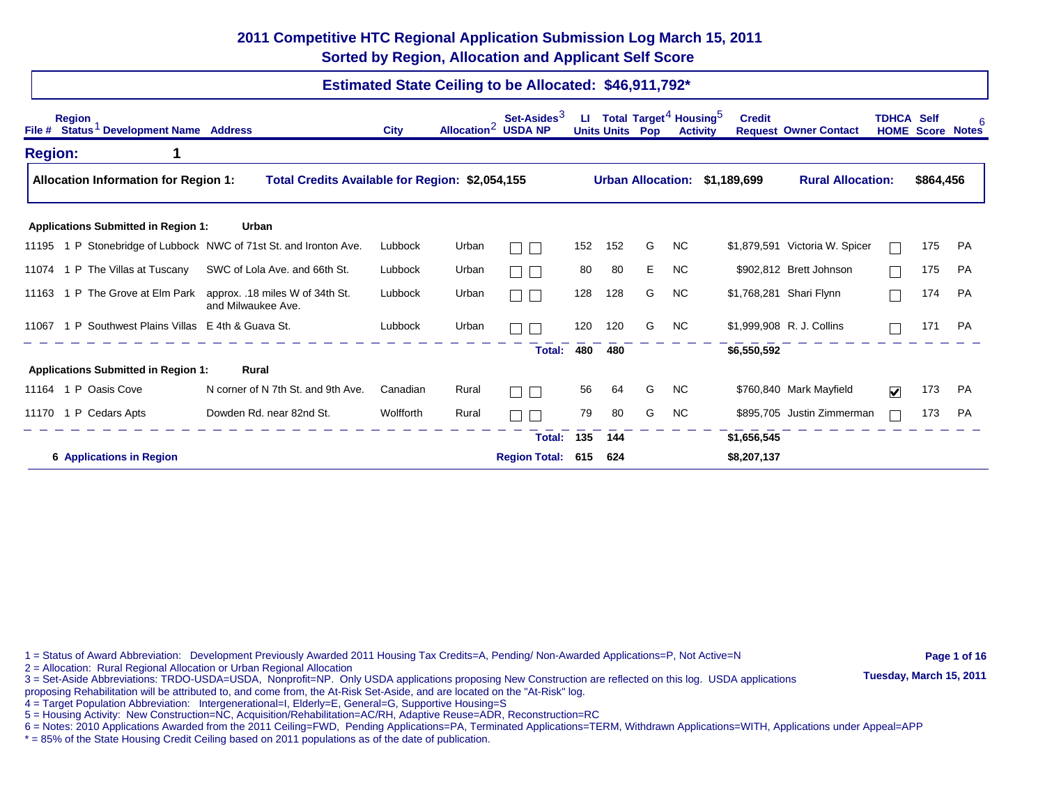## **2011 Competitive HTC Regional Application Submission Log March 15, 2011 Sorted by Region, Allocation and Applicant Self Score**

## **Estimated State Ceiling to be Allocated: \$46,911,792\***

| <b>Region</b><br>Status <sup>1</sup> Development Name Address<br>File # |                                                                   | <b>City</b> | Allocation <sup>2</sup> | Set-Asides <sup>3</sup><br><b>USDA NP</b> | ш   |     | Total Target <sup>4</sup> Housing <sup>5</sup><br><b>Units Units Pop</b> | <b>Activity</b> | <b>Credit</b>                 | <b>Request Owner Contact</b>   | <b>TDHCA Self</b>       | <b>HOME Score</b> | <b>Notes</b> |
|-------------------------------------------------------------------------|-------------------------------------------------------------------|-------------|-------------------------|-------------------------------------------|-----|-----|--------------------------------------------------------------------------|-----------------|-------------------------------|--------------------------------|-------------------------|-------------------|--------------|
| <b>Region:</b>                                                          |                                                                   |             |                         |                                           |     |     |                                                                          |                 |                               |                                |                         |                   |              |
| <b>Allocation Information for Region 1:</b>                             | Total Credits Available for Region: \$2,054,155                   |             |                         |                                           |     |     |                                                                          |                 | Urban Allocation: \$1,189,699 | <b>Rural Allocation:</b>       |                         | \$864,456         |              |
| <b>Applications Submitted in Region 1:</b>                              | Urban                                                             |             |                         |                                           |     |     |                                                                          |                 |                               |                                |                         |                   |              |
|                                                                         | 11195 1 P Stonebridge of Lubbock NWC of 71st St. and Ironton Ave. | Lubbock     | Urban                   | $\mathbf{I}$                              | 152 | 152 | G                                                                        | <b>NC</b>       |                               | \$1,879,591 Victoria W. Spicer |                         | 175               | PA           |
| 11074 1 P The Villas at Tuscany                                         | SWC of Lola Ave. and 66th St.                                     | Lubbock     | Urban                   | $\blacksquare$                            | 80  | 80  | E.                                                                       | <b>NC</b>       |                               | \$902,812 Brett Johnson        |                         | 175               | PA           |
| 1 P The Grove at Elm Park<br>11163                                      | approx. .18 miles W of 34th St.<br>and Milwaukee Ave.             | Lubbock     | Urban                   |                                           | 128 | 128 | G                                                                        | <b>NC</b>       |                               | \$1,768,281 Shari Flynn        |                         | 174               | <b>PA</b>    |
| 11067 1 P Southwest Plains Villas E 4th & Guava St.                     |                                                                   | Lubbock     | Urban                   |                                           | 120 | 120 | G                                                                        | N <sub>C</sub>  |                               | \$1,999,908 R. J. Collins      |                         | 171               | <b>PA</b>    |
|                                                                         |                                                                   |             |                         | Total:                                    | 480 | 480 |                                                                          |                 | \$6,550,592                   |                                |                         |                   |              |
| <b>Applications Submitted in Region 1:</b>                              | Rural                                                             |             |                         |                                           |     |     |                                                                          |                 |                               |                                |                         |                   |              |
| 11164 1 P Oasis Cove                                                    | N corner of N 7th St. and 9th Ave.                                | Canadian    | Rural                   | $\overline{\phantom{0}}$                  | 56  | 64  | G                                                                        | NC              |                               | \$760,840 Mark Mayfield        | $\overline{\mathbf{v}}$ | 173               | PA           |
| 11170 1 P Cedars Apts                                                   | Dowden Rd. near 82nd St.                                          | Wolfforth   | Rural                   |                                           | 79  | 80  | G                                                                        | <b>NC</b>       |                               | \$895,705 Justin Zimmerman     |                         | 173               | <b>PA</b>    |
|                                                                         |                                                                   |             |                         | <b>Total:</b>                             | 135 | 144 |                                                                          |                 | \$1,656,545                   |                                |                         |                   |              |
| <b>6 Applications in Region</b>                                         |                                                                   |             |                         | <b>Region Total:</b>                      | 615 | 624 |                                                                          |                 | \$8,207,137                   |                                |                         |                   |              |

1 = Status of Award Abbreviation: Development Previously Awarded 2011 Housing Tax Credits=A, Pending/ Non-Awarded Applications=P, Not Active=N **Page 1 of 16** 

3 = Set-Aside Abbreviations: TRDO-USDA=USDA, Nonprofit=NP. Only USDA applications proposing New Construction are reflected on this log. USDA applications **Tuesday, March 15, 2011** 

proposing Rehabilitation will be attributed to, and come from, the At-Risk Set-Aside, and are located on the "At-Risk" log.

4 = Target Population Abbreviation: Intergenerational=I, Elderly=E, General=G, Supportive Housing=S

5 = Housing Activity: New Construction=NC, Acquisition/Rehabilitation=AC/RH, Adaptive Reuse=ADR, Reconstruction=RC

6 = Notes: 2010 Applications Awarded from the 2011 Ceiling=FWD, Pending Applications=PA, Terminated Applications=TERM, Withdrawn Applications=WITH, Applications under Appeal=APP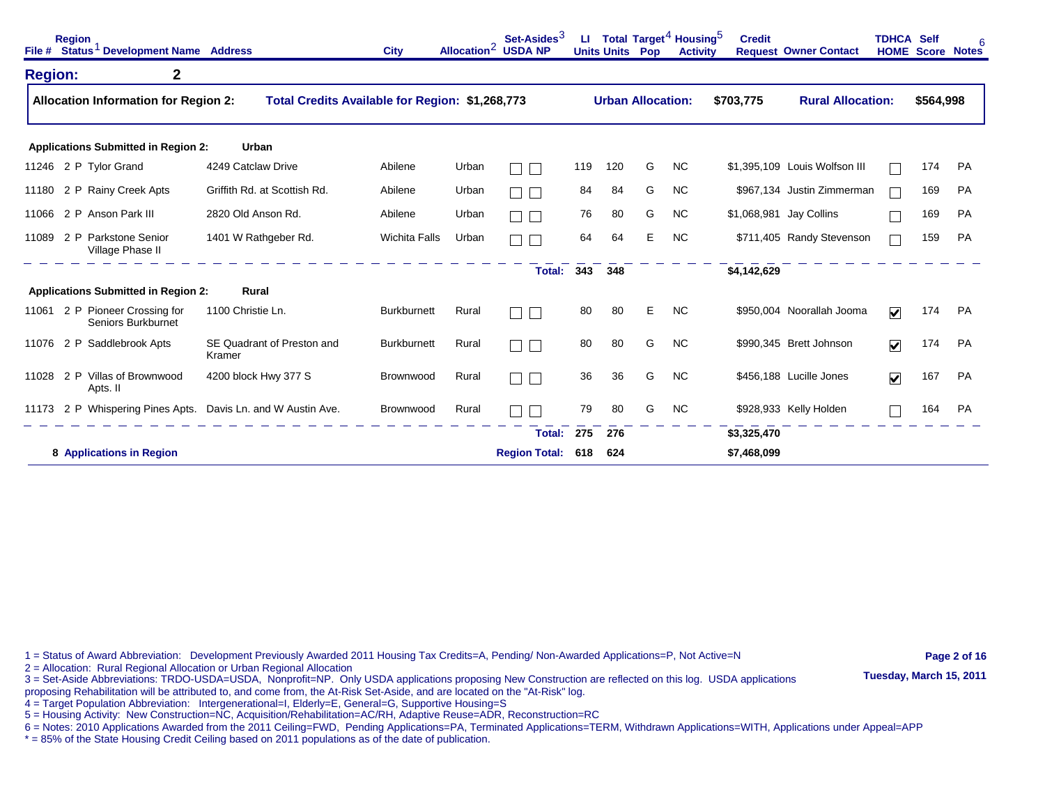|                | <b>Region</b> | File # Status <sup>1</sup> Development Name Address   |                                                              | <b>City</b>          | Allocation <sup>2</sup> | Set-Asides <sup>3</sup><br><b>USDA NP</b> | ш   | <b>Units Units</b>       | Pop | Total Target <sup>4</sup> Housing <sup>5</sup><br><b>Activity</b> | <b>Credit</b> | <b>Request Owner Contact</b>  | <b>TDHCA Self</b>       | <b>HOME Score Notes</b> | 6         |
|----------------|---------------|-------------------------------------------------------|--------------------------------------------------------------|----------------------|-------------------------|-------------------------------------------|-----|--------------------------|-----|-------------------------------------------------------------------|---------------|-------------------------------|-------------------------|-------------------------|-----------|
| <b>Region:</b> |               | $\mathbf{2}$                                          |                                                              |                      |                         |                                           |     |                          |     |                                                                   |               |                               |                         |                         |           |
|                |               | <b>Allocation Information for Region 2:</b>           | Total Credits Available for Region: \$1,268,773              |                      |                         |                                           |     | <b>Urban Allocation:</b> |     |                                                                   | \$703,775     | <b>Rural Allocation:</b>      |                         | \$564,998               |           |
|                |               | <b>Applications Submitted in Region 2:</b>            | Urban                                                        |                      |                         |                                           |     |                          |     |                                                                   |               |                               |                         |                         |           |
|                |               | 11246 2 P Tylor Grand                                 | 4249 Catclaw Drive                                           | Abilene              | Urban                   |                                           | 119 | 120                      | G   | <b>NC</b>                                                         |               | \$1,395,109 Louis Wolfson III |                         | 174                     | PA        |
|                |               | 11180 2 P Rainy Creek Apts                            | Griffith Rd. at Scottish Rd.                                 | Abilene              | Urban                   | $\mathbf{I}$                              | 84  | 84                       | G   | <b>NC</b>                                                         |               | \$967,134 Justin Zimmerman    |                         | 169                     | PA        |
|                |               | 11066 2 P Anson Park III                              | 2820 Old Anson Rd.                                           | Abilene              | Urban                   |                                           | 76  | 80                       | G   | <b>NC</b>                                                         |               | \$1,068,981 Jay Collins       |                         | 169                     | PA        |
| 11089          |               | 2 P Parkstone Senior<br>Village Phase II              | 1401 W Rathgeber Rd.                                         | <b>Wichita Falls</b> | Urban                   |                                           | 64  | 64                       | E   | <b>NC</b>                                                         |               | \$711,405 Randy Stevenson     |                         | 159                     | <b>PA</b> |
|                |               |                                                       |                                                              |                      |                         | <b>Total:</b>                             | 343 | 348                      |     |                                                                   | \$4,142,629   |                               |                         |                         |           |
|                |               | <b>Applications Submitted in Region 2:</b>            | Rural                                                        |                      |                         |                                           |     |                          |     |                                                                   |               |                               |                         |                         |           |
| 11061          |               | 2 P Pioneer Crossing for<br><b>Seniors Burkburnet</b> | 1100 Christie Ln.                                            | <b>Burkburnett</b>   | Rural                   | $\Box$                                    | 80  | 80                       | E   | <b>NC</b>                                                         |               | \$950,004 Noorallah Jooma     | $\overline{\mathbf{v}}$ | 174                     | PA        |
|                |               | 11076 2 P Saddlebrook Apts                            | SE Quadrant of Preston and<br>Kramer                         | <b>Burkburnett</b>   | Rural                   | Г                                         | 80  | 80                       | G   | <b>NC</b>                                                         |               | \$990,345 Brett Johnson       | $\blacktriangledown$    | 174                     | <b>PA</b> |
| 11028          |               | 2 P Villas of Brownwood<br>Apts. II                   | 4200 block Hwy 377 S                                         | Brownwood            | Rural                   | Г                                         | 36  | 36                       | G   | <b>NC</b>                                                         |               | \$456,188 Lucille Jones       | $\overline{\mathbf{v}}$ | 167                     | <b>PA</b> |
|                |               |                                                       | 11173 2 P Whispering Pines Apts. Davis Ln. and W Austin Ave. | Brownwood            | Rural                   |                                           | 79  | 80                       | G   | <b>NC</b>                                                         |               | \$928,933 Kelly Holden        |                         | 164                     | <b>PA</b> |
|                |               |                                                       |                                                              |                      |                         | Total:                                    | 275 | 276                      |     |                                                                   | \$3,325,470   |                               |                         |                         |           |
|                |               | 8 Applications in Region                              |                                                              |                      |                         | <b>Region Total:</b>                      | 618 | 624                      |     |                                                                   | \$7,468,099   |                               |                         |                         |           |

1 = Status of Award Abbreviation: Development Previously Awarded 2011 Housing Tax Credits=A, Pending/ Non-Awarded Applications=P, Not Active=N **Page 2 of 16** 

2 = Allocation: Rural Regional Allocation or Urban Regional Allocation<br>3 = Set-Aside Abbreviations: TRDO-USDA=USDA, Nonprofit=NP. Only USDA applications proposing New Construction are reflected on this log. USDA applicatio

proposing Rehabilitation will be attributed to, and come from, the At-Risk Set-Aside, and are located on the "At-Risk" log.

4 = Target Population Abbreviation: Intergenerational=I, Elderly=E, General=G, Supportive Housing=S

5 = Housing Activity: New Construction=NC, Acquisition/Rehabilitation=AC/RH, Adaptive Reuse=ADR, Reconstruction=RC

6 = Notes: 2010 Applications Awarded from the 2011 Ceiling=FWD, Pending Applications=PA, Terminated Applications=TERM, Withdrawn Applications=WITH, Applications under Appeal=APP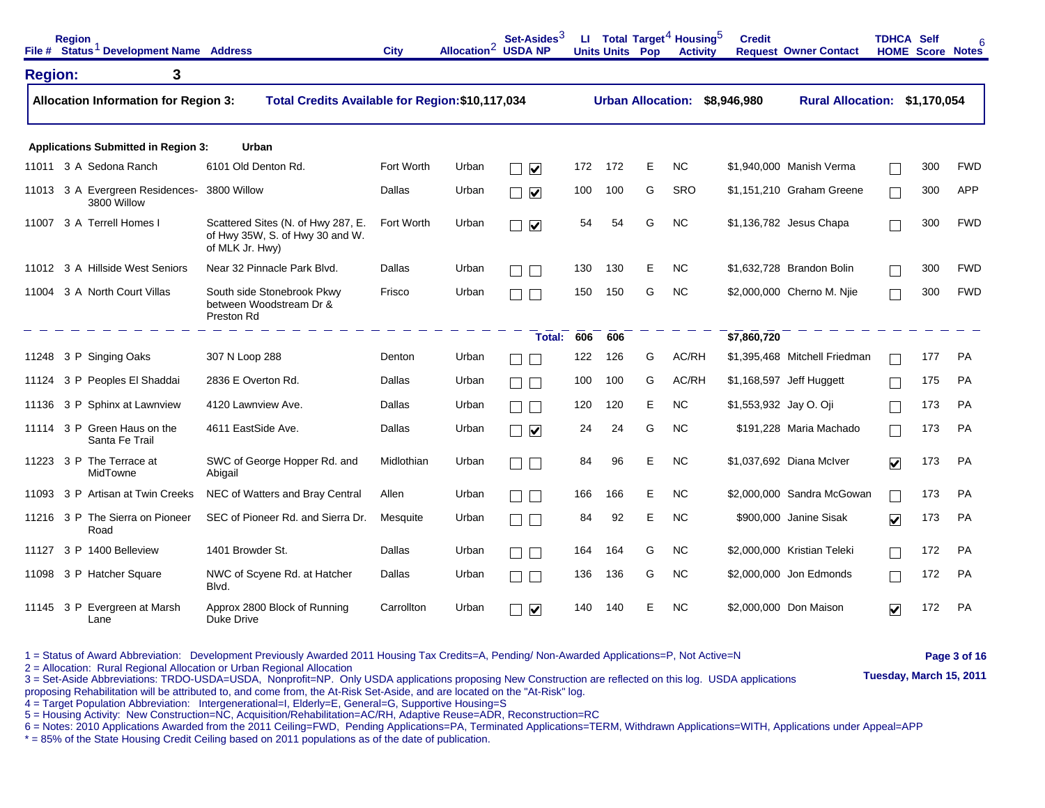|                | <b>Region</b> | File # Status <sup>1</sup> Development Name Address |                                                                                          | <b>City</b> | Allocation <sup>2</sup> | Set-Asides <sup>3</sup><br><b>USDA NP</b> |     | <b>Units Units Pop</b>   |   | LI Total Target <sup>4</sup> Housing <sup>5</sup><br><b>Activity</b> | <b>Credit</b>          | <b>Request Owner Contact</b>  | <b>TDHCA Self</b>    | <b>HOME Score Notes</b> |            |
|----------------|---------------|-----------------------------------------------------|------------------------------------------------------------------------------------------|-------------|-------------------------|-------------------------------------------|-----|--------------------------|---|----------------------------------------------------------------------|------------------------|-------------------------------|----------------------|-------------------------|------------|
| <b>Region:</b> |               | 3                                                   |                                                                                          |             |                         |                                           |     |                          |   |                                                                      |                        |                               |                      |                         |            |
|                |               | <b>Allocation Information for Region 3:</b>         | Total Credits Available for Region: \$10,117,034                                         |             |                         |                                           |     | <b>Urban Allocation:</b> |   |                                                                      | \$8,946,980            | Rural Allocation: \$1,170,054 |                      |                         |            |
|                |               | <b>Applications Submitted in Region 3:</b>          | Urban                                                                                    |             |                         |                                           |     |                          |   |                                                                      |                        |                               |                      |                         |            |
|                |               | 11011 3 A Sedona Ranch                              | 6101 Old Denton Rd.                                                                      | Fort Worth  | Urban                   | $\blacktriangledown$                      | 172 | 172                      | E | <b>NC</b>                                                            |                        | \$1,940,000 Manish Verma      |                      | 300                     | <b>FWD</b> |
|                |               | 11013 3 A Evergreen Residences-<br>3800 Willow      | 3800 Willow                                                                              | Dallas      | Urban                   | $\blacktriangledown$                      | 100 | 100                      | G | SRO                                                                  |                        | \$1,151,210 Graham Greene     | $\Box$               | 300                     | <b>APP</b> |
| 11007          |               | 3 A Terrell Homes I                                 | Scattered Sites (N. of Hwy 287, E.<br>of Hwy 35W, S. of Hwy 30 and W.<br>of MLK Jr. Hwy) | Fort Worth  | Urban                   | $\blacktriangledown$                      | 54  | 54                       | G | <b>NC</b>                                                            |                        | \$1,136,782 Jesus Chapa       |                      | 300                     | <b>FWD</b> |
| 11012          |               | 3 A Hillside West Seniors                           | Near 32 Pinnacle Park Blvd.                                                              | Dallas      | Urban                   |                                           | 130 | 130                      | Е | <b>NC</b>                                                            |                        | \$1,632,728 Brandon Bolin     |                      | 300                     | <b>FWD</b> |
| 11004          |               | 3 A North Court Villas                              | South side Stonebrook Pkwy<br>between Woodstream Dr &<br>Preston Rd                      | Frisco      | Urban                   |                                           | 150 | 150                      | G | <b>NC</b>                                                            |                        | \$2,000,000 Cherno M. Nije    |                      | 300                     | <b>FWD</b> |
|                |               |                                                     |                                                                                          |             |                         | Total:                                    | 606 | 606                      |   |                                                                      | \$7,860,720            |                               |                      |                         |            |
| 11248          |               | 3 P Singing Oaks                                    | 307 N Loop 288                                                                           | Denton      | Urban                   |                                           | 122 | 126                      | G | AC/RH                                                                |                        | \$1,395,468 Mitchell Friedman |                      | 177                     | <b>PA</b>  |
| 11124          |               | 3 P Peoples El Shaddai                              | 2836 E Overton Rd.                                                                       | Dallas      | Urban                   |                                           | 100 | 100                      | G | AC/RH                                                                |                        | \$1,168,597 Jeff Huggett      |                      | 175                     | <b>PA</b>  |
| 11136          |               | 3 P Sphinx at Lawnview                              | 4120 Lawnview Ave.                                                                       | Dallas      | Urban                   |                                           | 120 | 120                      | E | <b>NC</b>                                                            | \$1,553,932 Jay O. Oji |                               |                      | 173                     | <b>PA</b>  |
| 11114          |               | 3 P Green Haus on the<br>Santa Fe Trail             | 4611 EastSide Ave.                                                                       | Dallas      | Urban                   | $\blacktriangledown$                      | 24  | 24                       | G | <b>NC</b>                                                            |                        | \$191,228 Maria Machado       |                      | 173                     | <b>PA</b>  |
|                |               | 11223 3 P The Terrace at<br>MidTowne                | SWC of George Hopper Rd. and<br>Abigail                                                  | Midlothian  | Urban                   |                                           | 84  | 96                       | Ε | <b>NC</b>                                                            |                        | \$1,037,692 Diana McIver      | $\checkmark$         | 173                     | PA         |
| 11093          |               | 3 P Artisan at Twin Creeks                          | NEC of Watters and Bray Central                                                          | Allen       | Urban                   |                                           | 166 | 166                      | Е | NC.                                                                  |                        | \$2,000,000 Sandra McGowan    |                      | 173                     | <b>PA</b>  |
|                |               | 11216 3 P The Sierra on Pioneer<br>Road             | SEC of Pioneer Rd. and Sierra Dr.                                                        | Mesquite    | Urban                   |                                           | 84  | 92                       | Ε | <b>NC</b>                                                            |                        | \$900,000 Janine Sisak        | $\blacktriangledown$ | 173                     | <b>PA</b>  |
| 11127          |               | 3 P 1400 Belleview                                  | 1401 Browder St.                                                                         | Dallas      | Urban                   |                                           | 164 | 164                      | G | <b>NC</b>                                                            |                        | \$2,000,000 Kristian Teleki   |                      | 172                     | <b>PA</b>  |
| 11098          |               | 3 P Hatcher Square                                  | NWC of Scyene Rd. at Hatcher<br>Blvd.                                                    | Dallas      | Urban                   |                                           | 136 | 136                      | G | <b>NC</b>                                                            |                        | \$2,000,000 Jon Edmonds       |                      | 172                     | <b>PA</b>  |
| 11145          | 3 P           | Evergreen at Marsh<br>Lane                          | Approx 2800 Block of Running<br>Duke Drive                                               | Carrollton  | Urban                   | $\blacktriangledown$                      | 140 | 140                      | Е | <b>NC</b>                                                            |                        | \$2,000,000 Don Maison        | $\blacktriangledown$ | 172                     | <b>PA</b>  |

1 = Status of Award Abbreviation: Development Previously Awarded 2011 Housing Tax Credits=A, Pending/ Non-Awarded Applications=P, Not Active=N **Page 3 of 16** 

2 = Allocation: Rural Regional Allocation or Urban Regional Allocation<br>3 = Set-Aside Abbreviations: TRDO-USDA=USDA, Nonprofit=NP. Only USDA applications proposing New Construction are reflected on this log. USDA applicatio

proposing Rehabilitation will be attributed to, and come from, the At-Risk Set-Aside, and are located on the "At-Risk" log.

4 = Target Population Abbreviation: Intergenerational=I, Elderly=E, General=G, Supportive Housing=S

5 = Housing Activity: New Construction=NC, Acquisition/Rehabilitation=AC/RH, Adaptive Reuse=ADR, Reconstruction=RC

6 = Notes: 2010 Applications Awarded from the 2011 Ceiling=FWD, Pending Applications=PA, Terminated Applications=TERM, Withdrawn Applications=WITH, Applications under Appeal=APP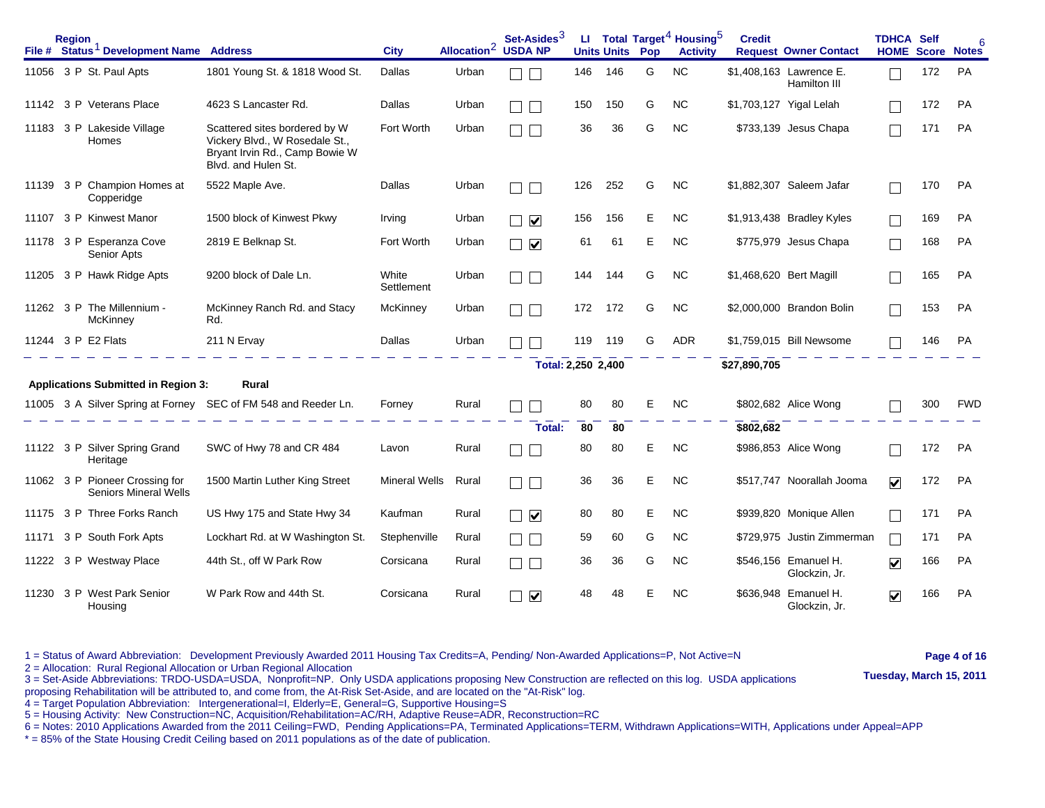|       | <b>Region</b><br>File # Status <sup>1</sup> Development Name Address |                                                                                                                          | <b>City</b>          | Allocation <sup>2</sup> | Set-Asides $^3$<br><b>USDA NP</b> | ш   | <b>Units Units</b> | Pop | Total Target <sup>4</sup> Housing <sup>5</sup><br><b>Activity</b> | <b>Credit</b>           | <b>Request Owner Contact</b>            | <b>TDHCA Self</b><br><b>HOME Score Notes</b> |     | F          |
|-------|----------------------------------------------------------------------|--------------------------------------------------------------------------------------------------------------------------|----------------------|-------------------------|-----------------------------------|-----|--------------------|-----|-------------------------------------------------------------------|-------------------------|-----------------------------------------|----------------------------------------------|-----|------------|
|       | 11056 3 P St. Paul Apts                                              | 1801 Young St. & 1818 Wood St.                                                                                           | Dallas               | Urban                   |                                   | 146 | 146                | G   | <b>NC</b>                                                         |                         | \$1,408,163 Lawrence E.<br>Hamilton III |                                              | 172 | PA         |
|       | 11142 3 P Veterans Place                                             | 4623 S Lancaster Rd.                                                                                                     | Dallas               | Urban                   |                                   | 150 | 150                | G   | <b>NC</b>                                                         |                         | \$1,703,127 Yigal Lelah                 |                                              | 172 | <b>PA</b>  |
|       | 11183 3 P Lakeside Village<br><b>Homes</b>                           | Scattered sites bordered by W<br>Vickery Blvd., W Rosedale St.,<br>Bryant Irvin Rd., Camp Bowie W<br>Blvd. and Hulen St. | Fort Worth           | Urban                   |                                   | 36  | 36                 | G   | <b>NC</b>                                                         |                         | \$733,139 Jesus Chapa                   |                                              | 171 | PA         |
| 11139 | 3 P Champion Homes at<br>Copperidge                                  | 5522 Maple Ave.                                                                                                          | Dallas               | Urban                   |                                   | 126 | 252                | G   | <b>NC</b>                                                         |                         | \$1,882,307 Saleem Jafar                |                                              | 170 | PA         |
| 11107 | 3 P Kinwest Manor                                                    | 1500 block of Kinwest Pkwy                                                                                               | Irving               | Urban                   | $\blacktriangledown$              | 156 | 156                | Е   | <b>NC</b>                                                         |                         | \$1,913,438 Bradley Kyles               |                                              | 169 | PA         |
|       | 11178 3 P Esperanza Cove<br>Senior Apts                              | 2819 E Belknap St.                                                                                                       | Fort Worth           | Urban                   | $\blacktriangledown$<br>$\Box$    | 61  | 61                 | Е   | <b>NC</b>                                                         |                         | \$775,979 Jesus Chapa                   |                                              | 168 | <b>PA</b>  |
|       | 11205 3 P Hawk Ridge Apts                                            | 9200 block of Dale Ln.                                                                                                   | White<br>Settlement  | Urban                   |                                   | 144 | 144                | G   | <b>NC</b>                                                         | \$1,468,620 Bert Magill |                                         |                                              | 165 | <b>PA</b>  |
|       | 11262 3 P The Millennium -<br>McKinney                               | McKinney Ranch Rd. and Stacy<br>Rd.                                                                                      | McKinney             | Urban                   |                                   | 172 | 172                | G   | NC.                                                               |                         | \$2,000,000 Brandon Bolin               |                                              | 153 | PA         |
|       | 11244 3 P E2 Flats                                                   | 211 N Ervay                                                                                                              | Dallas               | Urban                   |                                   | 119 | 119                | G   | <b>ADR</b>                                                        |                         | \$1,759,015 Bill Newsome                |                                              | 146 | <b>PA</b>  |
|       |                                                                      |                                                                                                                          |                      |                         | Total: 2,250 2,400                |     |                    |     |                                                                   | \$27,890,705            |                                         |                                              |     |            |
|       | <b>Applications Submitted in Region 3:</b>                           | Rural                                                                                                                    |                      |                         |                                   |     |                    |     |                                                                   |                         |                                         |                                              |     |            |
|       |                                                                      | 11005 3 A Silver Spring at Forney SEC of FM 548 and Reeder Ln.                                                           | Forney               | Rural                   |                                   | 80  | 80                 | Е   | <b>NC</b>                                                         |                         | \$802,682 Alice Wong                    |                                              | 300 | <b>FWD</b> |
|       |                                                                      |                                                                                                                          |                      |                         | Total:                            | 80  | 80                 |     |                                                                   | \$802,682               |                                         |                                              |     |            |
|       | 11122 3 P Silver Spring Grand<br>Heritage                            | SWC of Hwy 78 and CR 484                                                                                                 | Lavon                | Rural                   |                                   | 80  | 80                 | Е   | <b>NC</b>                                                         |                         | \$986,853 Alice Wong                    |                                              | 172 | PA         |
|       | 11062 3 P Pioneer Crossing for<br><b>Seniors Mineral Wells</b>       | 1500 Martin Luther King Street                                                                                           | <b>Mineral Wells</b> | Rural                   | $\mathbf{L}$                      | 36  | 36                 | Е   | <b>NC</b>                                                         |                         | \$517,747 Noorallah Jooma               | $\blacktriangledown$                         | 172 | PA         |
|       | 11175 3 P Three Forks Ranch                                          | US Hwy 175 and State Hwy 34                                                                                              | Kaufman              | Rural                   | $\Box$ $\blacktriangledown$       | 80  | 80                 | Е   | <b>NC</b>                                                         |                         | \$939,820 Monique Allen                 |                                              | 171 | PA         |
|       | 11171 3 P South Fork Apts                                            | Lockhart Rd. at W Washington St.                                                                                         | Stephenville         | Rural                   |                                   | 59  | 60                 | G   | <b>NC</b>                                                         |                         | \$729,975 Justin Zimmerman              |                                              | 171 | <b>PA</b>  |
| 11222 | 3 P Westway Place                                                    | 44th St., off W Park Row                                                                                                 | Corsicana            | Rural                   |                                   | 36  | 36                 | G   | <b>NC</b>                                                         |                         | \$546,156 Emanuel H.<br>Glockzin, Jr.   | $\blacktriangledown$                         | 166 | PA         |
|       | 11230 3 P West Park Senior<br>Housing                                | W Park Row and 44th St.                                                                                                  | Corsicana            | Rural                   | $\blacktriangledown$              | 48  | 48                 | Е   | <b>NC</b>                                                         |                         | \$636,948 Emanuel H.<br>Glockzin, Jr.   | $\blacktriangledown$                         | 166 | PA         |

1 = Status of Award Abbreviation: Development Previously Awarded 2011 Housing Tax Credits=A, Pending/ Non-Awarded Applications=P, Not Active=N **Page 4 of 16** 

2 = Allocation: Rural Regional Allocation or Urban Regional Allocation - Procedure Detection: Rural Regional Allocation: Procedure Detection: Rural Regional Allocation: Tube of Urban Regional Allocation<br>3 = Set-Aside Abbre proposing Rehabilitation will be attributed to, and come from, the At-Risk Set-Aside, and are located on the "At-Risk" log.

4 = Target Population Abbreviation: Intergenerational=I, Elderly=E, General=G, Supportive Housing=S

5 = Housing Activity: New Construction=NC, Acquisition/Rehabilitation=AC/RH, Adaptive Reuse=ADR, Reconstruction=RC

6 = Notes: 2010 Applications Awarded from the 2011 Ceiling=FWD, Pending Applications=PA, Terminated Applications=TERM, Withdrawn Applications=WITH, Applications under Appeal=APP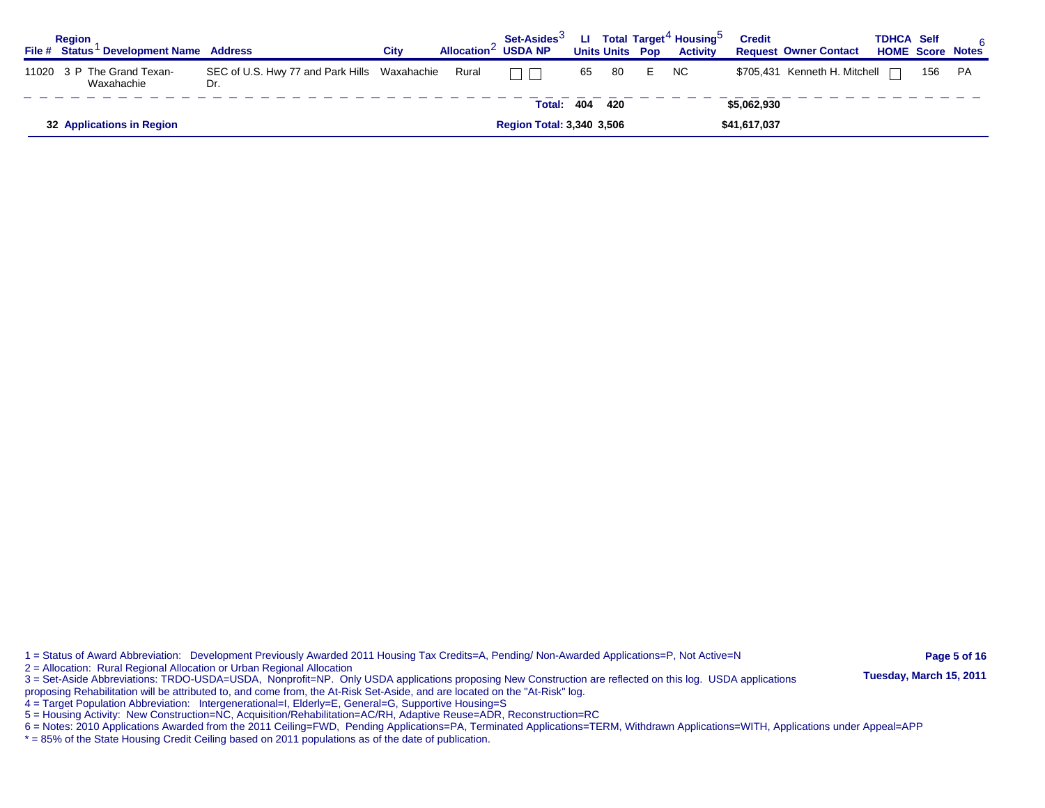| <b>Region</b> | File # Status Development Name Address   |                                                           | City | Allocation $\leq$ USDA NP | Set-Asides <sup>3</sup>          |     | <b>Units Units Pop</b> |   | LI Total Target <sup>4</sup> Housing <sup>5</sup><br><b>Activity</b> | <b>Credit</b> | <b>Request Owner Contact</b>    | <b>TDHCA Self</b> |     | 6<br><b>HOME Score Notes</b> |
|---------------|------------------------------------------|-----------------------------------------------------------|------|---------------------------|----------------------------------|-----|------------------------|---|----------------------------------------------------------------------|---------------|---------------------------------|-------------------|-----|------------------------------|
|               | 11020 3 P The Grand Texan-<br>Waxahachie | SEC of U.S. Hwy 77 and Park Hills Waxahachie Rural<br>Dr. |      |                           | $\Box$ $\Box$                    | 65  | 80                     | E | NC.                                                                  |               | \$705,431 Kenneth H. Mitchell □ |                   | 156 | PA                           |
|               |                                          |                                                           |      |                           | Total:                           | 404 | - 420                  |   |                                                                      | \$5,062,930   |                                 |                   |     |                              |
|               | 32 Applications in Region                |                                                           |      |                           | <b>Region Total: 3,340 3,506</b> |     |                        |   |                                                                      | \$41,617,037  |                                 |                   |     |                              |

1 = Status of Award Abbreviation: Development Previously Awarded 2011 Housing Tax Credits=A, Pending/ Non-Awarded Applications=P, Not Active=N **Page 5 of 16** 

2 = Allocation: Rural Regional Allocation or Urban Regional Allocation<br>3 = Set-Aside Abbreviations: TRDO-USDA=USDA, Nonprofit=NP. Only USDA applications proposing New Construction are reflected on this log. USDA applicatio

proposing Rehabilitation will be attributed to, and come from, the At-Risk Set-Aside, and are located on the "At-Risk" log.

4 = Target Population Abbreviation: Intergenerational=I, Elderly=E, General=G, Supportive Housing=S

5 = Housing Activity: New Construction=NC, Acquisition/Rehabilitation=AC/RH, Adaptive Reuse=ADR, Reconstruction=RC

6 = Notes: 2010 Applications Awarded from the 2011 Ceiling=FWD, Pending Applications=PA, Terminated Applications=TERM, Withdrawn Applications=WITH, Applications under Appeal=APP<br>6 = Notes: 2010 Applications Awarded from th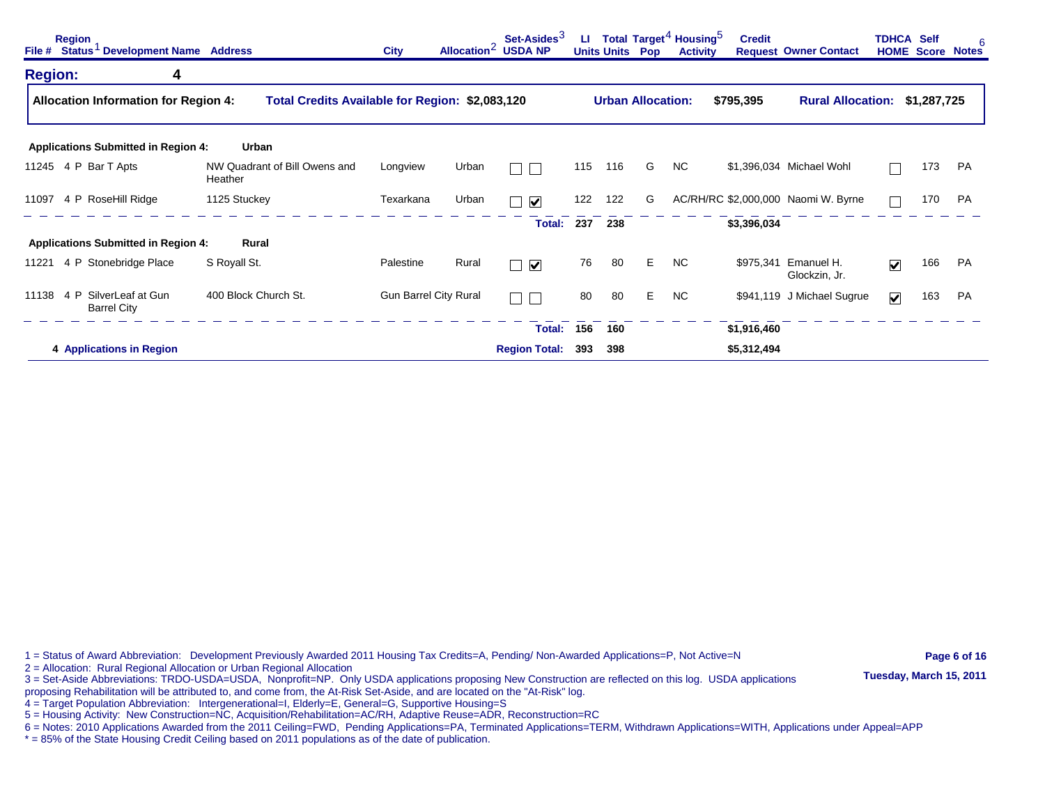| <b>Region</b>        | File # Status <sup>1</sup> Development Name Address |                                                 | <b>City</b>                  |       | Set-Asides <sup>3</sup><br>Allocation <sup>2</sup> USDA NP | ш   | <b>Units Units</b>       | Pop | Total Target <sup>4</sup> Housing <sup>5</sup><br><b>Activity</b> | <b>Credit</b> | <b>Request Owner Contact</b>          |                         | <b>TDHCA Self</b><br><b>HOME Score Notes</b> | 6  |
|----------------------|-----------------------------------------------------|-------------------------------------------------|------------------------------|-------|------------------------------------------------------------|-----|--------------------------|-----|-------------------------------------------------------------------|---------------|---------------------------------------|-------------------------|----------------------------------------------|----|
| <b>Region:</b>       | 4                                                   |                                                 |                              |       |                                                            |     |                          |     |                                                                   |               |                                       |                         |                                              |    |
|                      | <b>Allocation Information for Region 4:</b>         | Total Credits Available for Region: \$2,083,120 |                              |       |                                                            |     | <b>Urban Allocation:</b> |     |                                                                   | \$795,395     | Rural Allocation: \$1,287,725         |                         |                                              |    |
|                      | <b>Applications Submitted in Region 4:</b>          | Urban                                           |                              |       |                                                            |     |                          |     |                                                                   |               |                                       |                         |                                              |    |
| 11245 4 P Bar T Apts |                                                     | NW Quadrant of Bill Owens and<br>Heather        | Longview                     | Urban |                                                            | 115 | 116                      | G   | NC.                                                               |               | \$1,396,034 Michael Wohl              |                         | 173                                          | PA |
|                      | 11097 4 P RoseHill Ridge                            | 1125 Stuckey                                    | Texarkana                    | Urban | $\blacktriangledown$                                       | 122 | 122                      | G   |                                                                   |               | AC/RH/RC \$2,000,000 Naomi W. Byrne   |                         | 170                                          | PA |
|                      |                                                     |                                                 |                              |       | <b>Total:</b>                                              | 237 | 238                      |     |                                                                   | \$3,396,034   |                                       |                         |                                              |    |
|                      | <b>Applications Submitted in Region 4:</b>          | Rural                                           |                              |       |                                                            |     |                          |     |                                                                   |               |                                       |                         |                                              |    |
|                      | 11221 4 P Stonebridge Place                         | S Royall St.                                    | Palestine                    | Rural | $\blacktriangledown$<br>h.                                 | 76  | -80                      | Е   | <b>NC</b>                                                         |               | \$975,341 Emanuel H.<br>Glockzin, Jr. | $\blacktriangledown$    | 166                                          | PA |
| 11138                | 4 P SilverLeaf at Gun<br><b>Barrel City</b>         | 400 Block Church St.                            | <b>Gun Barrel City Rural</b> |       | $\Box$                                                     | 80  | 80                       | Е   | NC.                                                               |               | \$941,119 J Michael Sugrue            | $\overline{\mathbf{v}}$ | 163                                          | PA |
|                      |                                                     |                                                 |                              |       | Total:                                                     | 156 | 160                      |     |                                                                   | \$1,916,460   |                                       |                         |                                              |    |
|                      | 4 Applications in Region                            |                                                 |                              |       | <b>Region Total:</b>                                       | 393 | 398                      |     |                                                                   | \$5,312,494   |                                       |                         |                                              |    |

1 = Status of Award Abbreviation: Development Previously Awarded 2011 Housing Tax Credits=A, Pending/ Non-Awarded Applications=P, Not Active=N **Page 6 of 16** 

2 = Allocation: Rural Regional Allocation or Urban Regional Allocation<br>3 = Set-Aside Abbreviations: TRDO-USDA=USDA, Nonprofit=NP. Only USDA applications proposing New Construction are reflected on this log. USDA applicatio

proposing Rehabilitation will be attributed to, and come from, the At-Risk Set-Aside, and are located on the "At-Risk" log.

4 = Target Population Abbreviation: Intergenerational=I, Elderly=E, General=G, Supportive Housing=S

5 = Housing Activity: New Construction=NC, Acquisition/Rehabilitation=AC/RH, Adaptive Reuse=ADR, Reconstruction=RC

6 = Notes: 2010 Applications Awarded from the 2011 Ceiling=FWD, Pending Applications=PA, Terminated Applications=TERM, Withdrawn Applications=WITH, Applications under Appeal=APP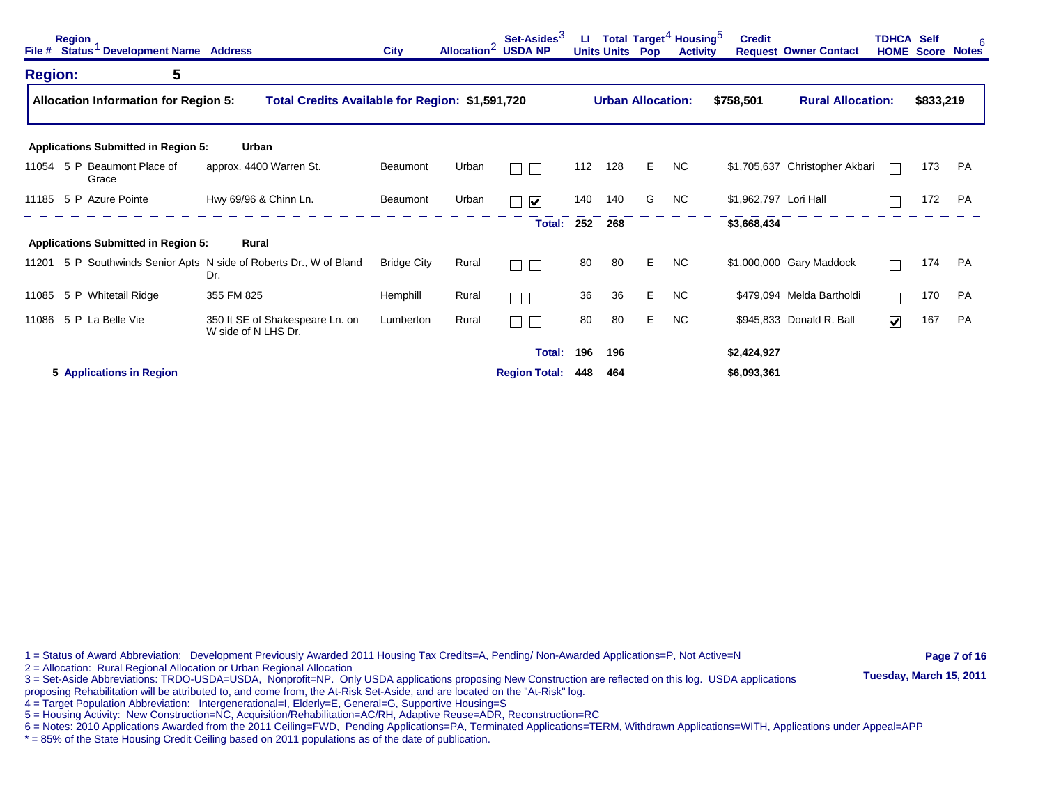| File #         | <b>Region</b><br>Status <sup>1</sup> Development Name Address |                                                                     | <b>City</b>        |       | Set-Asides <sup>3</sup><br>Allocation <sup>2</sup> USDA NP | ш   | <b>Units Units</b> | Pop                      | Total Target <sup>4</sup> Housing <sup>5</sup><br><b>Activity</b> | <b>Credit</b>         | <b>Request Owner Contact</b>   | <b>TDHCA Self</b>       |           | 6<br><b>HOME Score Notes</b> |
|----------------|---------------------------------------------------------------|---------------------------------------------------------------------|--------------------|-------|------------------------------------------------------------|-----|--------------------|--------------------------|-------------------------------------------------------------------|-----------------------|--------------------------------|-------------------------|-----------|------------------------------|
| <b>Region:</b> | 5                                                             |                                                                     |                    |       |                                                            |     |                    |                          |                                                                   |                       |                                |                         |           |                              |
|                | <b>Allocation Information for Region 5:</b>                   | Total Credits Available for Region: \$1,591,720                     |                    |       |                                                            |     |                    | <b>Urban Allocation:</b> |                                                                   | \$758,501             | <b>Rural Allocation:</b>       |                         | \$833,219 |                              |
|                | <b>Applications Submitted in Region 5:</b>                    | Urban                                                               |                    |       |                                                            |     |                    |                          |                                                                   |                       |                                |                         |           |                              |
| 11054          | 5 P Beaumont Place of<br>Grace                                | approx. 4400 Warren St.                                             | Beaumont           | Urban |                                                            | 112 | 128                | Е                        | N <sub>C</sub>                                                    |                       | \$1,705,637 Christopher Akbari |                         | 173       | PA                           |
| 11185          | 5 P Azure Pointe                                              | Hwy 69/96 & Chinn Ln.                                               | Beaumont           | Urban | $\blacktriangledown$                                       | 140 | 140                | G                        | N <sub>C</sub>                                                    | \$1,962,797 Lori Hall |                                |                         | 172       | <b>PA</b>                    |
|                |                                                               |                                                                     |                    |       | Total:                                                     | 252 | 268                |                          |                                                                   | \$3,668,434           |                                |                         |           |                              |
|                | <b>Applications Submitted in Region 5:</b>                    | Rural                                                               |                    |       |                                                            |     |                    |                          |                                                                   |                       |                                |                         |           |                              |
| 11201          |                                                               | 5 P Southwinds Senior Apts N side of Roberts Dr., W of Bland<br>Dr. | <b>Bridge City</b> | Rural |                                                            | 80  | 80                 | Е                        | <b>NC</b>                                                         |                       | \$1,000,000 Gary Maddock       |                         | 174       | PA                           |
| 11085          | 5 P Whitetail Ridge                                           | 355 FM 825                                                          | Hemphill           | Rural |                                                            | 36  | 36                 | E                        | <b>NC</b>                                                         |                       | \$479,094 Melda Bartholdi      | Г                       | 170       | <b>PA</b>                    |
| 11086          | 5 P La Belle Vie                                              | 350 ft SE of Shakespeare Ln. on<br>W side of N LHS Dr.              | Lumberton          | Rural |                                                            | 80  | 80                 | E                        | <b>NC</b>                                                         |                       | \$945,833 Donald R. Ball       | $\overline{\mathbf{v}}$ | 167       | PA                           |
|                |                                                               |                                                                     |                    |       | Total:                                                     | 196 | 196                |                          |                                                                   | \$2,424,927           |                                |                         |           |                              |
|                | 5 Applications in Region                                      |                                                                     |                    |       | <b>Region Total:</b>                                       | 448 | 464                |                          |                                                                   | \$6,093,361           |                                |                         |           |                              |

1 = Status of Award Abbreviation: Development Previously Awarded 2011 Housing Tax Credits=A, Pending/ Non-Awarded Applications=P, Not Active=N **Page 7 of 16** 

2 = Allocation: Rural Regional Allocation or Urban Regional Allocation<br>3 = Set-Aside Abbreviations: TRDO-USDA=USDA, Nonprofit=NP. Only USDA applications proposing New Construction are reflected on this log. USDA applicatio

proposing Rehabilitation will be attributed to, and come from, the At-Risk Set-Aside, and are located on the "At-Risk" log.

4 = Target Population Abbreviation: Intergenerational=I, Elderly=E, General=G, Supportive Housing=S

5 = Housing Activity: New Construction=NC, Acquisition/Rehabilitation=AC/RH, Adaptive Reuse=ADR, Reconstruction=RC

6 = Notes: 2010 Applications Awarded from the 2011 Ceiling=FWD, Pending Applications=PA, Terminated Applications=TERM, Withdrawn Applications=WITH, Applications under Appeal=APP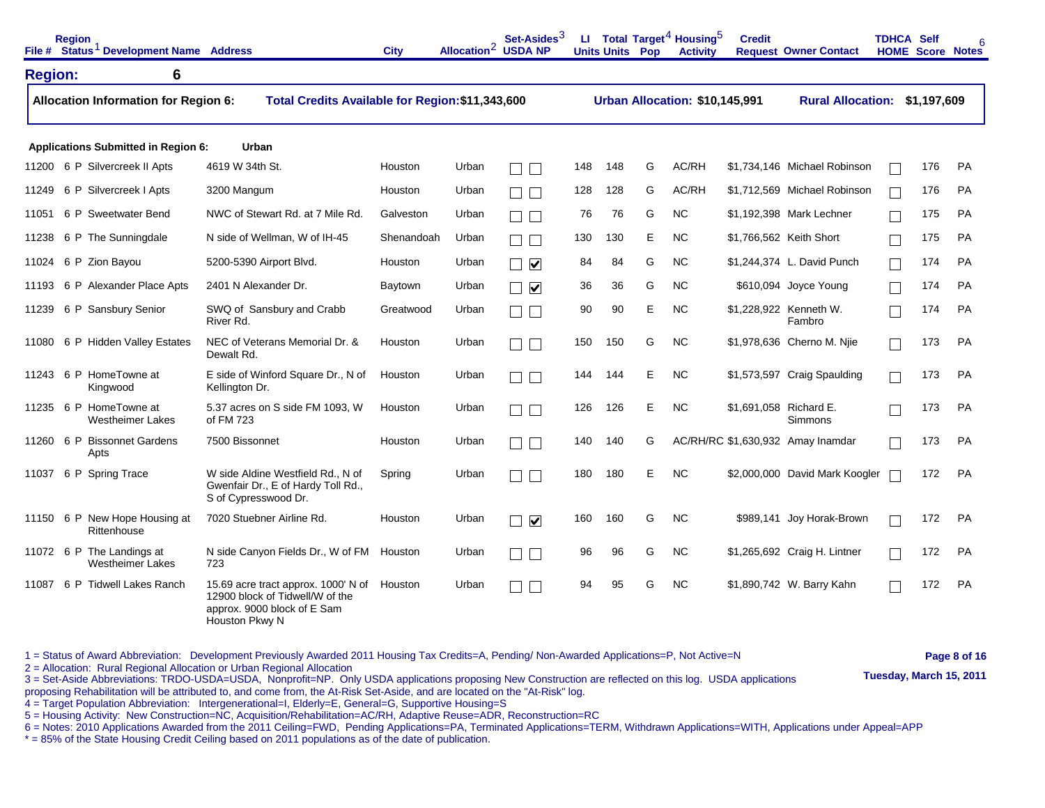|                | <b>Region</b> | File # Status <sup>1</sup> Development Name Address  |                                                                                                                                 | <b>City</b> | Allocation <sup>2</sup> | Set-Asides <sup>3</sup><br><b>USDA NP</b> |     | <b>Units Units Pop</b> |   | LI Total Target <sup>4</sup> Housing <sup>5</sup><br><b>Activity</b> | <b>Credit</b>          | <b>Request Owner Contact</b>      | <b>TDHCA Self</b> | <b>HOME Score Notes</b> |           |
|----------------|---------------|------------------------------------------------------|---------------------------------------------------------------------------------------------------------------------------------|-------------|-------------------------|-------------------------------------------|-----|------------------------|---|----------------------------------------------------------------------|------------------------|-----------------------------------|-------------------|-------------------------|-----------|
| <b>Region:</b> |               | 6                                                    |                                                                                                                                 |             |                         |                                           |     |                        |   |                                                                      |                        |                                   |                   |                         |           |
|                |               | <b>Allocation Information for Region 6:</b>          | Total Credits Available for Region: \$11,343,600                                                                                |             |                         |                                           |     |                        |   | Urban Allocation: \$10,145,991                                       |                        | Rural Allocation: \$1,197,609     |                   |                         |           |
|                |               | <b>Applications Submitted in Region 6:</b>           | Urban                                                                                                                           |             |                         |                                           |     |                        |   |                                                                      |                        |                                   |                   |                         |           |
| 11200          |               | 6 P Silvercreek II Apts                              | 4619 W 34th St.                                                                                                                 | Houston     | Urban                   |                                           | 148 | 148                    | G | AC/RH                                                                |                        | \$1,734,146 Michael Robinson      |                   | 176                     | <b>PA</b> |
| 11249          |               | 6 P Silvercreek I Apts                               | 3200 Mangum                                                                                                                     | Houston     | Urban                   |                                           | 128 | 128                    | G | AC/RH                                                                |                        | \$1,712,569 Michael Robinson      |                   | 176                     | PA        |
| 11051          |               | 6 P Sweetwater Bend                                  | NWC of Stewart Rd. at 7 Mile Rd.                                                                                                | Galveston   | Urban                   |                                           | 76  | 76                     | G | <b>NC</b>                                                            |                        | \$1,192,398 Mark Lechner          |                   | 175                     | <b>PA</b> |
| 11238          |               | 6 P The Sunningdale                                  | N side of Wellman, W of IH-45                                                                                                   | Shenandoah  | Urban                   | $\sqrt{2}$                                | 130 | 130                    | E | <b>NC</b>                                                            |                        | \$1,766,562 Keith Short           | П                 | 175                     | <b>PA</b> |
| 11024          |               | 6 P Zion Bayou                                       | 5200-5390 Airport Blvd.                                                                                                         | Houston     | Urban                   | $\blacktriangledown$                      | 84  | 84                     | G | <b>NC</b>                                                            |                        | \$1,244,374 L. David Punch        | $\mathbb{L}$      | 174                     | <b>PA</b> |
| 11193          |               | 6 P Alexander Place Apts                             | 2401 N Alexander Dr.                                                                                                            | Baytown     | Urban                   | $\blacktriangledown$                      | 36  | 36                     | G | <b>NC</b>                                                            |                        | \$610,094 Joyce Young             | $\mathbf{L}$      | 174                     | <b>PA</b> |
| 11239          |               | 6 P Sansbury Senior                                  | SWQ of Sansbury and Crabb<br>River Rd.                                                                                          | Greatwood   | Urban                   | $\mathbb{R}^n$                            | 90  | 90                     | Е | NC.                                                                  |                        | \$1,228,922 Kenneth W.<br>Fambro  |                   | 174                     | <b>PA</b> |
| 11080          |               | 6 P Hidden Valley Estates                            | NEC of Veterans Memorial Dr. &<br>Dewalt Rd.                                                                                    | Houston     | Urban                   | $\Box$                                    | 150 | 150                    | G | <b>NC</b>                                                            |                        | \$1,978,636 Cherno M. Nije        |                   | 173                     | <b>PA</b> |
|                |               | 11243 6 P HomeTowne at<br>Kingwood                   | E side of Winford Square Dr., N of<br>Kellington Dr.                                                                            | Houston     | Urban                   | $\sqrt{2}$                                | 144 | 144                    | E | <b>NC</b>                                                            |                        | \$1,573,597 Craig Spaulding       |                   | 173                     | <b>PA</b> |
|                |               | 11235 6 P HomeTowne at<br><b>Westheimer Lakes</b>    | 5.37 acres on S side FM 1093, W<br>of FM 723                                                                                    | Houston     | Urban                   |                                           | 126 | 126                    | Е | <b>NC</b>                                                            | \$1,691,058 Richard E. | <b>Simmons</b>                    |                   | 173                     | <b>PA</b> |
|                |               | 11260 6 P Bissonnet Gardens<br>Apts                  | 7500 Bissonnet                                                                                                                  | Houston     | Urban                   | $\sqrt{2}$                                | 140 | 140                    | G |                                                                      |                        | AC/RH/RC \$1,630,932 Amay Inamdar |                   | 173                     | <b>PA</b> |
| 11037          |               | 6 P Spring Trace                                     | W side Aldine Westfield Rd., N of<br>Gwenfair Dr., E of Hardy Toll Rd.,<br>S of Cypresswood Dr.                                 | Spring      | Urban                   | $\sqrt{2}$<br>$\Box$                      | 180 | 180                    | E | <b>NC</b>                                                            |                        | \$2,000,000 David Mark Koogler    |                   | 172                     | <b>PA</b> |
|                |               | 11150 6 P New Hope Housing at<br>Rittenhouse         | 7020 Stuebner Airline Rd.                                                                                                       | Houston     | Urban                   | $\blacktriangledown$<br>$\Box$            | 160 | 160                    | G | <b>NC</b>                                                            |                        | \$989,141 Joy Horak-Brown         | $\mathbb{R}^n$    | 172                     | <b>PA</b> |
|                |               | 11072 6 P The Landings at<br><b>Westheimer Lakes</b> | N side Canyon Fields Dr., W of FM<br>723                                                                                        | Houston     | Urban                   | $\Box$                                    | 96  | 96                     | G | <b>NC</b>                                                            |                        | \$1,265,692 Craig H. Lintner      |                   | 172                     | <b>PA</b> |
| 11087          |               | 6 P Tidwell Lakes Ranch                              | 15.69 acre tract approx. 1000' N of Houston<br>12900 block of Tidwell/W of the<br>approx. 9000 block of E Sam<br>Houston Pkwy N |             | Urban                   | $\overline{\phantom{a}}$                  | 94  | 95                     | G | <b>NC</b>                                                            |                        | \$1,890,742 W. Barry Kahn         |                   | 172                     | <b>PA</b> |

1 = Status of Award Abbreviation: Development Previously Awarded 2011 Housing Tax Credits=A, Pending/ Non-Awarded Applications=P, Not Active=N **Page 8 of 16 Page 8 of 16 Page 8 of 16 Page 8 of 16 Page 8 of 16 Pag** 

2 – Anocation: Nural Neglonal Anocation of Orban Neglonal Anocation<br>3 = Set-Aside Abbreviations: TRDO-USDA=USDA, Nonprofit=NP. Only USDA applications proposing New Construction are reflected on this log. USDA applications proposing Rehabilitation will be attributed to, and come from, the At-Risk Set-Aside, and are located on the "At-Risk" log.

4 = Target Population Abbreviation: Intergenerational=I, Elderly=E, General=G, Supportive Housing=S

5 = Housing Activity: New Construction=NC, Acquisition/Rehabilitation=AC/RH, Adaptive Reuse=ADR, Reconstruction=RC

6 = Notes: 2010 Applications Awarded from the 2011 Ceiling=FWD, Pending Applications=PA, Terminated Applications=TERM, Withdrawn Applications=WITH, Applications under Appeal=APP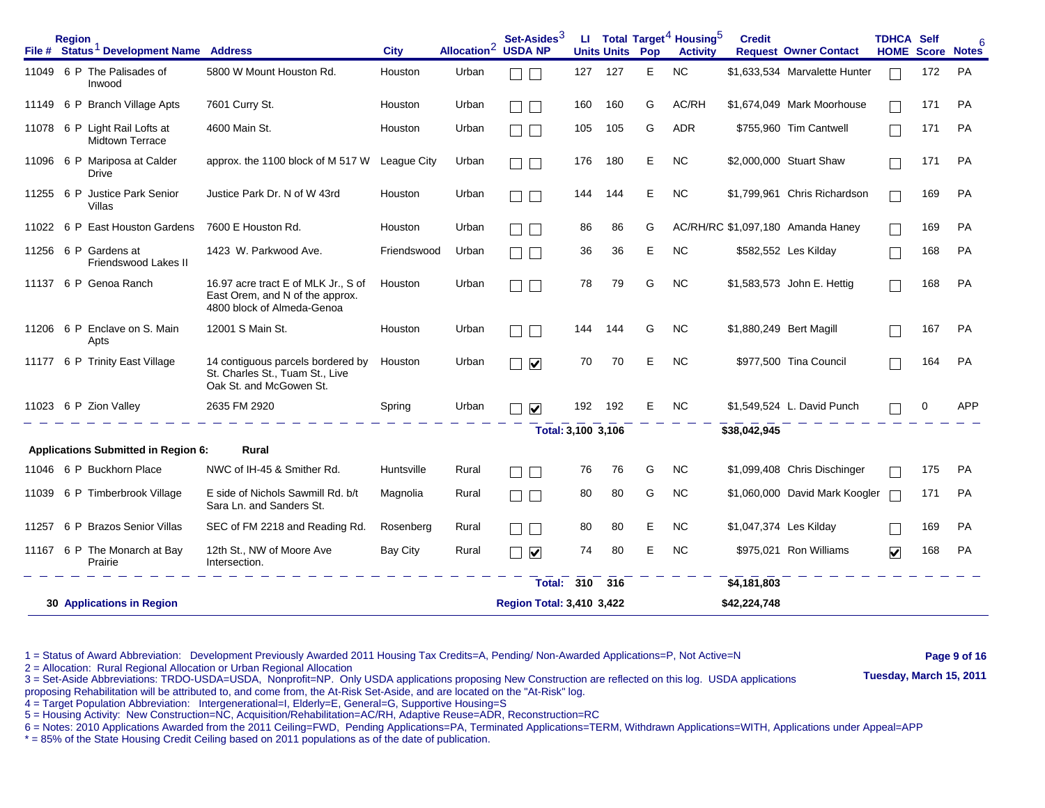|       | <b>Region</b><br>File # Status <sup>1</sup> Development Name Address |                                                                                                      | <b>City</b>     | Allocation <sup>2</sup> | Set-Asides <sup>3</sup><br><b>USDA NP</b> |     | <b>Units Units</b> | Pop | LI Total Target <sup>4</sup> Housing <sup>5</sup><br><b>Activity</b> | <b>Credit</b>           | <b>Request Owner Contact</b>      | <b>TDHCA Self</b><br><b>HOME Score Notes</b> |     | 6          |
|-------|----------------------------------------------------------------------|------------------------------------------------------------------------------------------------------|-----------------|-------------------------|-------------------------------------------|-----|--------------------|-----|----------------------------------------------------------------------|-------------------------|-----------------------------------|----------------------------------------------|-----|------------|
| 11049 | 6 P The Palisades of<br>Inwood                                       | 5800 W Mount Houston Rd.                                                                             | Houston         | Urban                   |                                           | 127 | 127                | E   | <b>NC</b>                                                            |                         | \$1,633,534 Marvalette Hunter     |                                              | 172 | PA         |
| 11149 | 6 P Branch Village Apts                                              | 7601 Curry St.                                                                                       | Houston         | Urban                   |                                           | 160 | 160                | G   | AC/RH                                                                |                         | \$1,674,049 Mark Moorhouse        |                                              | 171 | <b>PA</b>  |
| 11078 | 6 P Light Rail Lofts at<br><b>Midtown Terrace</b>                    | 4600 Main St.                                                                                        | Houston         | Urban                   |                                           | 105 | 105                | G   | <b>ADR</b>                                                           |                         | \$755,960 Tim Cantwell            |                                              | 171 | <b>PA</b>  |
|       | 11096 6 P Mariposa at Calder<br>Drive                                | approx. the 1100 block of M 517 W                                                                    | League City     | Urban                   |                                           | 176 | 180                | Е   | NC.                                                                  |                         | \$2,000,000 Stuart Shaw           |                                              | 171 | <b>PA</b>  |
|       | 11255 6 P Justice Park Senior<br>Villas                              | Justice Park Dr. N of W 43rd                                                                         | Houston         | Urban                   |                                           | 144 | 144                | Е   | <b>NC</b>                                                            |                         | \$1,799,961 Chris Richardson      |                                              | 169 | <b>PA</b>  |
| 11022 | 6 P East Houston Gardens                                             | 7600 E Houston Rd.                                                                                   | Houston         | Urban                   |                                           | 86  | 86                 | G   |                                                                      |                         | AC/RH/RC \$1,097,180 Amanda Haney |                                              | 169 | <b>PA</b>  |
| 11256 | 6 P Gardens at<br>Friendswood Lakes II                               | 1423 W. Parkwood Ave.                                                                                | Friendswood     | Urban                   |                                           | 36  | 36                 | Е   | <b>NC</b>                                                            |                         | \$582,552 Les Kilday              |                                              | 168 | <b>PA</b>  |
| 11137 | 6 P Genoa Ranch                                                      | 16.97 acre tract E of MLK Jr., S of<br>East Orem, and N of the approx.<br>4800 block of Almeda-Genoa | Houston         | Urban                   |                                           | 78  | 79                 | G   | <b>NC</b>                                                            |                         | \$1,583,573 John E. Hettig        |                                              | 168 | <b>PA</b>  |
| 11206 | 6 P Enclave on S. Main<br>Apts                                       | 12001 S Main St.                                                                                     | Houston         | Urban                   |                                           | 144 | 144                | G   | <b>NC</b>                                                            | \$1,880,249 Bert Magill |                                   |                                              | 167 | <b>PA</b>  |
| 11177 | 6 P Trinity East Village                                             | 14 contiguous parcels bordered by<br>St. Charles St., Tuam St., Live<br>Oak St. and McGowen St.      | Houston         | Urban                   | $\blacktriangledown$                      | 70  | 70                 | Е   | <b>NC</b>                                                            |                         | \$977,500 Tina Council            |                                              | 164 | <b>PA</b>  |
|       | 11023 6 P Zion Valley                                                | 2635 FM 2920                                                                                         | Spring          | Urban                   | $\blacktriangledown$                      | 192 | 192                | Е   | <b>NC</b>                                                            |                         | \$1,549,524 L. David Punch        |                                              | 0   | <b>APP</b> |
|       |                                                                      |                                                                                                      |                 |                         | Total: 3,100 3,106                        |     |                    |     |                                                                      | \$38,042,945            |                                   |                                              |     |            |
|       | <b>Applications Submitted in Region 6:</b>                           | Rural                                                                                                |                 |                         |                                           |     |                    |     |                                                                      |                         |                                   |                                              |     |            |
| 11046 | 6 P Buckhorn Place                                                   | NWC of IH-45 & Smither Rd.                                                                           | Huntsville      | Rural                   |                                           | 76  | 76                 | G   | <b>NC</b>                                                            |                         | \$1,099,408 Chris Dischinger      |                                              | 175 | <b>PA</b>  |
| 11039 | 6 P Timberbrook Village                                              | E side of Nichols Sawmill Rd. b/t<br>Sara Ln. and Sanders St.                                        | Magnolia        | Rural                   |                                           | 80  | 80                 | G   | NC.                                                                  |                         | \$1,060,000 David Mark Koogler    |                                              | 171 | <b>PA</b>  |
| 11257 | <b>Brazos Senior Villas</b><br>6 P                                   | SEC of FM 2218 and Reading Rd.                                                                       | Rosenberg       | Rural                   |                                           | 80  | 80                 | Ε   | <b>NC</b>                                                            | \$1,047,374 Les Kilday  |                                   |                                              | 169 | <b>PA</b>  |
|       | 11167 6 P The Monarch at Bay<br>Prairie                              | 12th St., NW of Moore Ave<br>Intersection.                                                           | <b>Bay City</b> | Rural                   | $\blacktriangledown$                      | 74  | 80                 | Ε   | NC.                                                                  |                         | \$975,021 Ron Williams            | $\blacktriangledown$                         | 168 | <b>PA</b>  |
|       |                                                                      |                                                                                                      |                 |                         | Total:                                    | 310 | 316                |     |                                                                      | \$4,181,803             |                                   |                                              |     |            |
|       | <b>30 Applications in Region</b>                                     |                                                                                                      |                 |                         | <b>Region Total: 3,410 3,422</b>          |     |                    |     |                                                                      | \$42,224,748            |                                   |                                              |     |            |

1 = Status of Award Abbreviation: Development Previously Awarded 2011 Housing Tax Credits=A, Pending/ Non-Awarded Applications=P, Not Active=N **Page 9 of 16** 

2 = Allocation: Rural Regional Allocation or Urban Regional Allocation<br>3 = Set-Aside Abbreviations: TRDO-USDA=USDA, Nonprofit=NP. Only USDA applications proposing New Construction are reflected on this log. USDA applicatio

proposing Rehabilitation will be attributed to, and come from, the At-Risk Set-Aside, and are located on the "At-Risk" log.

4 = Target Population Abbreviation: Intergenerational=I, Elderly=E, General=G, Supportive Housing=S

5 = Housing Activity: New Construction=NC, Acquisition/Rehabilitation=AC/RH, Adaptive Reuse=ADR, Reconstruction=RC

6 = Notes: 2010 Applications Awarded from the 2011 Ceiling=FWD, Pending Applications=PA, Terminated Applications=TERM, Withdrawn Applications=WITH, Applications under Appeal=APP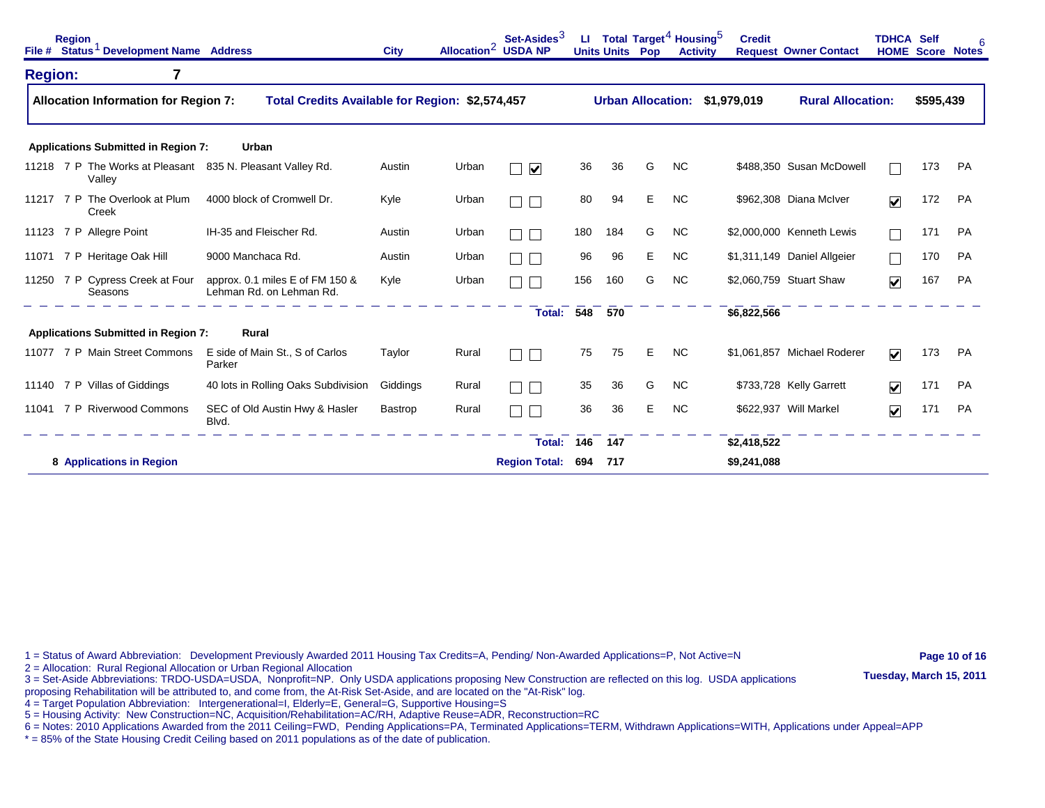|                | <b>Region</b> | File # Status <sup>1</sup> Development Name Address |                                                             | <b>City</b> | Allocation <sup>2</sup> | Set-Asides <sup>3</sup><br><b>USDA NP</b> | ш   | <b>Units Units Pop</b> | Total Target <sup>4</sup> Housing <sup>5</sup> | <b>Activity</b> | <b>Credit</b>                 | <b>Request Owner Contact</b> | <b>TDHCA Self</b>       |           | <b>HOME Score Notes</b> |
|----------------|---------------|-----------------------------------------------------|-------------------------------------------------------------|-------------|-------------------------|-------------------------------------------|-----|------------------------|------------------------------------------------|-----------------|-------------------------------|------------------------------|-------------------------|-----------|-------------------------|
| <b>Region:</b> |               | 7                                                   |                                                             |             |                         |                                           |     |                        |                                                |                 |                               |                              |                         |           |                         |
|                |               | <b>Allocation Information for Region 7:</b>         | Total Credits Available for Region: \$2,574,457             |             |                         |                                           |     |                        |                                                |                 | Urban Allocation: \$1,979,019 | <b>Rural Allocation:</b>     |                         | \$595,439 |                         |
|                |               | <b>Applications Submitted in Region 7:</b>          | Urban                                                       |             |                         |                                           |     |                        |                                                |                 |                               |                              |                         |           |                         |
|                |               | Valley                                              | 11218 7 P The Works at Pleasant 835 N. Pleasant Valley Rd.  | Austin      | Urban                   | $\blacktriangledown$                      | 36  | 36                     | G                                              | <b>NC</b>       |                               | \$488.350 Susan McDowell     |                         | 173       | PA                      |
|                |               | 11217 7 P The Overlook at Plum<br>Creek             | 4000 block of Cromwell Dr.                                  | Kyle        | Urban                   |                                           | 80  | 94                     | Е                                              | NC.             |                               | \$962,308 Diana McIver       | $\overline{\mathbf{v}}$ | 172       | PA                      |
|                |               | 11123 7 P Allegre Point                             | IH-35 and Fleischer Rd.                                     | Austin      | Urban                   |                                           | 180 | 184                    | G                                              | NC.             |                               | \$2,000,000 Kenneth Lewis    |                         | 171       | PA                      |
| 11071          |               | 7 P Heritage Oak Hill                               | 9000 Manchaca Rd.                                           | Austin      | Urban                   |                                           | 96  | 96                     | Е                                              | <b>NC</b>       |                               | \$1,311,149 Daniel Allgeier  |                         | 170       | PA                      |
|                |               | 11250 7 P Cypress Creek at Four<br>Seasons          | approx. 0.1 miles E of FM 150 &<br>Lehman Rd. on Lehman Rd. | Kyle        | Urban                   |                                           | 156 | 160                    | G                                              | <b>NC</b>       |                               | \$2,060,759 Stuart Shaw      | $\overline{\mathbf{v}}$ | 167       | PA                      |
|                |               |                                                     |                                                             |             |                         | <b>Total:</b>                             | 548 | 570                    |                                                |                 | \$6,822,566                   |                              |                         |           |                         |
|                |               | <b>Applications Submitted in Region 7:</b>          | Rural                                                       |             |                         |                                           |     |                        |                                                |                 |                               |                              |                         |           |                         |
| 11077          |               | 7 P Main Street Commons                             | E side of Main St., S of Carlos<br>Parker                   | Taylor      | Rural                   |                                           | 75  | 75                     | Е                                              | <b>NC</b>       |                               | \$1,061,857 Michael Roderer  | $\blacktriangledown$    | 173       | PA                      |
|                |               | 11140 7 P Villas of Giddings                        | 40 lots in Rolling Oaks Subdivision                         | Giddings    | Rural                   | $\Box$                                    | 35  | 36                     | G                                              | <b>NC</b>       |                               | \$733,728 Kelly Garrett      | $\overline{\mathbf{v}}$ | 171       | <b>PA</b>               |
| 11041          |               | 7 P Riverwood Commons                               | SEC of Old Austin Hwy & Hasler<br>Blvd.                     | Bastrop     | Rural                   |                                           | 36  | 36                     | Е                                              | <b>NC</b>       |                               | \$622,937 Will Markel        | $\overline{\mathbf{v}}$ | 171       | <b>PA</b>               |
|                |               |                                                     |                                                             |             |                         | Total:                                    | 146 | 147                    |                                                |                 | \$2,418,522                   |                              |                         |           |                         |
|                |               | 8 Applications in Region                            |                                                             |             |                         | <b>Region Total:</b>                      | 694 | 717                    |                                                |                 | \$9,241,088                   |                              |                         |           |                         |

1 = Status of Award Abbreviation: Development Previously Awarded 2011 Housing Tax Credits=A, Pending/ Non-Awarded Applications=P, Not Active=N **Page 10 of 16** 

2 = Allocation: Rural Regional Allocation or Urban Regional Allocation<br>3 = Set-Aside Abbreviations: TRDO-USDA=USDA, Nonprofit=NP. Only USDA applications proposing New Construction are reflected on this log. USDA applicatio

proposing Rehabilitation will be attributed to, and come from, the At-Risk Set-Aside, and are located on the "At-Risk" log.

4 = Target Population Abbreviation: Intergenerational=I, Elderly=E, General=G, Supportive Housing=S

5 = Housing Activity: New Construction=NC, Acquisition/Rehabilitation=AC/RH, Adaptive Reuse=ADR, Reconstruction=RC

6 = Notes: 2010 Applications Awarded from the 2011 Ceiling=FWD, Pending Applications=PA, Terminated Applications=TERM, Withdrawn Applications=WITH, Applications under Appeal=APP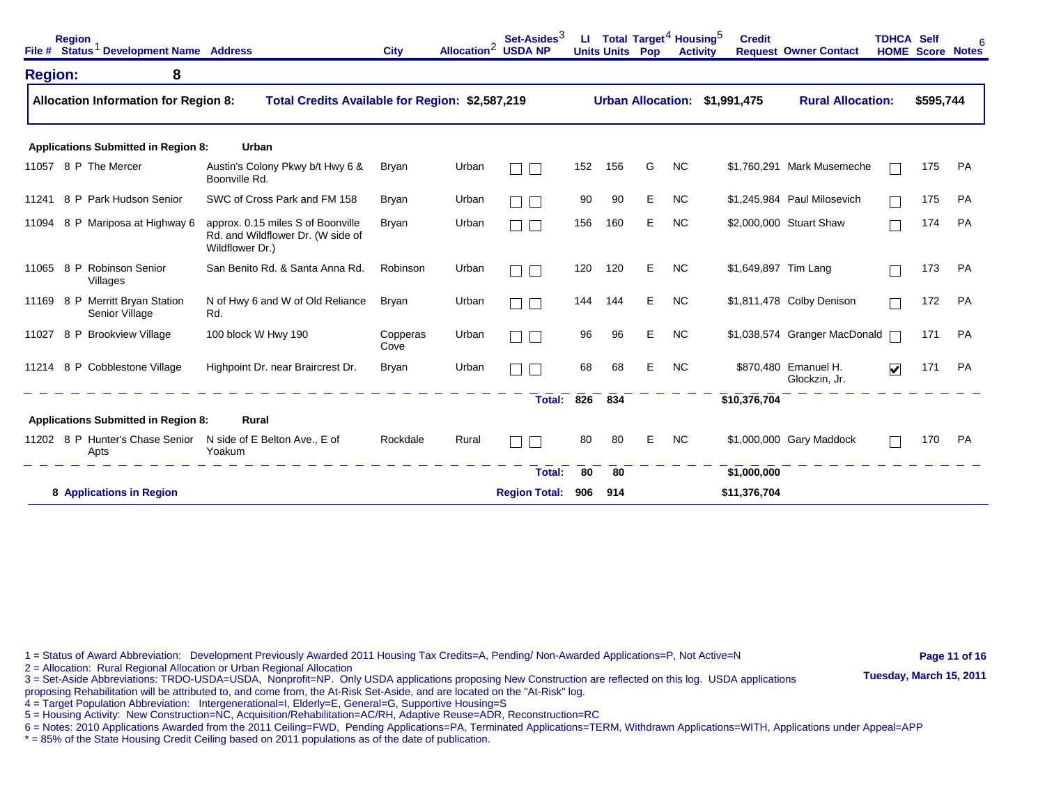| File #         | <b>Region</b> | Status <sup>1</sup> Development Name Address |                                                                                           | <b>City</b>      | Allocation <sup>2</sup> | Set-Asides $3$<br><b>USDA NP</b> | u.  | Total Target <sup>4</sup> Housing <sup>5</sup><br><b>Units Units Pop</b> |   |           | <b>Credit</b><br><b>Activity</b> | <b>Request Owner Contact</b>          | <b>TDHCA Self</b>    | <b>HOME Score Notes</b> |           |
|----------------|---------------|----------------------------------------------|-------------------------------------------------------------------------------------------|------------------|-------------------------|----------------------------------|-----|--------------------------------------------------------------------------|---|-----------|----------------------------------|---------------------------------------|----------------------|-------------------------|-----------|
| <b>Region:</b> |               | 8                                            |                                                                                           |                  |                         |                                  |     |                                                                          |   |           |                                  |                                       |                      |                         |           |
|                |               | <b>Allocation Information for Region 8:</b>  | Total Credits Available for Region: \$2,587,219                                           |                  |                         |                                  |     | <b>Urban Allocation:</b>                                                 |   |           | \$1,991,475                      | <b>Rural Allocation:</b>              |                      | \$595,744               |           |
|                |               | <b>Applications Submitted in Region 8:</b>   | Urban                                                                                     |                  |                         |                                  |     |                                                                          |   |           |                                  |                                       |                      |                         |           |
| 11057          |               | 8 P The Mercer                               | Austin's Colony Pkwy b/t Hwy 6 &<br>Boonville Rd.                                         | <b>Bryan</b>     | Urban                   |                                  | 152 | 156                                                                      | G | <b>NC</b> |                                  | \$1,760,291 Mark Musemeche            |                      | 175                     | <b>PA</b> |
| 11241          |               | 8 P Park Hudson Senior                       | SWC of Cross Park and FM 158                                                              | <b>Bryan</b>     | Urban                   |                                  | 90  | 90                                                                       | E | <b>NC</b> |                                  | \$1,245,984 Paul Milosevich           |                      | 175                     | <b>PA</b> |
| 11094          |               | 8 P Mariposa at Highway 6                    | approx. 0.15 miles S of Boonville<br>Rd. and Wildflower Dr. (W side of<br>Wildflower Dr.) | <b>Bryan</b>     | Urban                   |                                  | 156 | 160                                                                      | Е | <b>NC</b> |                                  | \$2,000,000 Stuart Shaw               |                      | 174                     | <b>PA</b> |
| 11065          | 8 P           | <b>Robinson Senior</b><br>Villages           | San Benito Rd. & Santa Anna Rd.                                                           | Robinson         | Urban                   |                                  | 120 | 120                                                                      | Е | <b>NC</b> | \$1,649,897 Tim Lang             |                                       |                      | 173                     | PA        |
| 11169          |               | 8 P Merritt Bryan Station<br>Senior Village  | N of Hwy 6 and W of Old Reliance<br>Rd.                                                   | <b>Bryan</b>     | Urban                   |                                  | 144 | 144                                                                      | E | <b>NC</b> |                                  | \$1,811,478 Colby Denison             |                      | 172                     | <b>PA</b> |
| 11027          | 8 P           | <b>Brookview Village</b>                     | 100 block W Hwy 190                                                                       | Copperas<br>Cove | Urban                   |                                  | 96  | 96                                                                       | Е | <b>NC</b> |                                  | \$1,038,574 Granger MacDonald         |                      | 171                     | <b>PA</b> |
| 11214          |               | 8 P Cobblestone Village                      | Highpoint Dr. near Braircrest Dr.                                                         | <b>Bryan</b>     | Urban                   |                                  | 68  | 68                                                                       | Е | <b>NC</b> |                                  | \$870,480 Emanuel H.<br>Glockzin, Jr. | $\blacktriangledown$ | 171                     | <b>PA</b> |
|                |               |                                              |                                                                                           |                  |                         | <b>Total:</b>                    | 826 | 834                                                                      |   |           | \$10,376,704                     |                                       |                      |                         |           |
|                |               | <b>Applications Submitted in Region 8:</b>   | Rural                                                                                     |                  |                         |                                  |     |                                                                          |   |           |                                  |                                       |                      |                         |           |
|                |               | 11202 8 P Hunter's Chase Senior<br>Apts      | N side of E Belton Ave., E of<br>Yoakum                                                   | Rockdale         | Rural                   |                                  | 80  | 80                                                                       | Е | <b>NC</b> |                                  | \$1,000,000 Gary Maddock              |                      | 170                     | PA        |
|                |               |                                              |                                                                                           |                  |                         | Total:                           | 80  | 80                                                                       |   |           | \$1,000,000                      |                                       |                      |                         |           |
|                |               | 8 Applications in Region                     |                                                                                           |                  |                         | <b>Region Total:</b>             | 906 | 914                                                                      |   |           | \$11,376,704                     |                                       |                      |                         |           |

1 = Status of Award Abbreviation: Development Previously Awarded 2011 Housing Tax Credits=A, Pending/ Non-Awarded Applications=P, Not Active=N **Page 11 of 16** 

2 = Allocation: Rural Regional Allocation or Urban Regional Allocation<br>3 = Set-Aside Abbreviations: TRDO-USDA=USDA, Nonprofit=NP. Only USDA applications proposing New Construction are reflected on this log. USDA applicatio

proposing Rehabilitation will be attributed to, and come from, the At-Risk Set-Aside, and are located on the "At-Risk" log.

4 = Target Population Abbreviation: Intergenerational=I, Elderly=E, General=G, Supportive Housing=S

5 = Housing Activity: New Construction=NC, Acquisition/Rehabilitation=AC/RH, Adaptive Reuse=ADR, Reconstruction=RC

6 = Notes: 2010 Applications Awarded from the 2011 Ceiling=FWD, Pending Applications=PA, Terminated Applications=TERM, Withdrawn Applications=WITH, Applications under Appeal=APP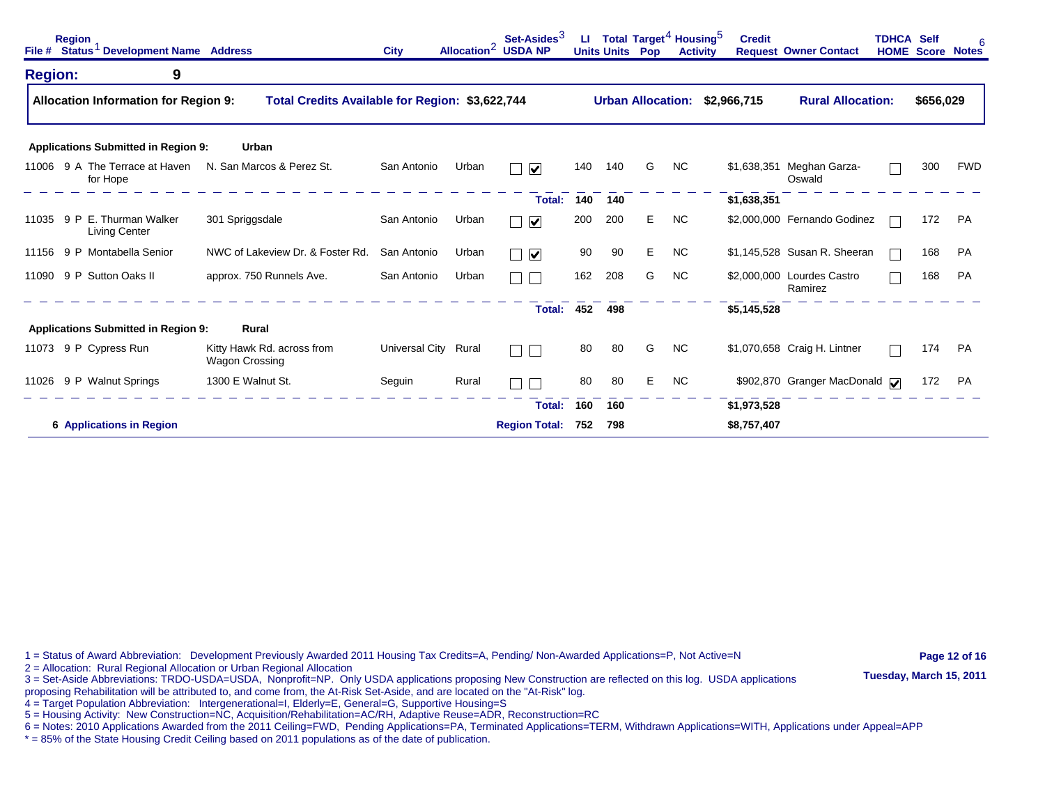|                | <b>Region</b><br>File # Status <sup>1</sup> Development Name Address |   |                                                     | <b>City</b>    | Allocation $\sim$ | Set-Asides <sup>3</sup><br><b>USDA NP</b> | ш   | <b>Units Units</b> | Total Target <sup>4</sup> Housing <sup>5</sup><br>Pop | <b>Activity</b> | <b>Credit</b> | <b>Request Owner Contact</b>          | <b>TDHCA Self</b> |           | 6<br><b>HOME Score Notes</b> |
|----------------|----------------------------------------------------------------------|---|-----------------------------------------------------|----------------|-------------------|-------------------------------------------|-----|--------------------|-------------------------------------------------------|-----------------|---------------|---------------------------------------|-------------------|-----------|------------------------------|
| <b>Region:</b> |                                                                      | 9 |                                                     |                |                   |                                           |     |                    |                                                       |                 |               |                                       |                   |           |                              |
|                | <b>Allocation Information for Region 9:</b>                          |   | Total Credits Available for Region: \$3,622,744     |                |                   |                                           |     |                    | <b>Urban Allocation:</b>                              |                 | \$2,966,715   | <b>Rural Allocation:</b>              |                   | \$656,029 |                              |
|                | <b>Applications Submitted in Region 9:</b>                           |   | Urban                                               |                |                   |                                           |     |                    |                                                       |                 |               |                                       |                   |           |                              |
| 11006          | 9 A The Terrace at Haven<br>for Hope                                 |   | N. San Marcos & Perez St.                           | San Antonio    | Urban             | $\blacktriangledown$                      | 140 | 140                | G                                                     | NC.             |               | \$1,638,351 Meghan Garza-<br>Oswald   |                   | 300       | <b>FWD</b>                   |
|                |                                                                      |   |                                                     |                |                   | <b>Total:</b>                             | 140 | 140                |                                                       |                 | \$1,638,351   |                                       |                   |           |                              |
|                | 11035 9 P E. Thurman Walker<br><b>Living Center</b>                  |   | 301 Spriggsdale                                     | San Antonio    | Urban             | $\blacktriangledown$                      | 200 | 200                | E.                                                    | <b>NC</b>       |               | \$2,000,000 Fernando Godinez          |                   | 172       | <b>PA</b>                    |
| 11156          | 9 P Montabella Senior                                                |   | NWC of Lakeview Dr. & Foster Rd.                    | San Antonio    | Urban             | $\overline{\mathsf{v}}$                   | 90  | 90                 | E                                                     | <b>NC</b>       |               | \$1,145,528 Susan R. Sheeran          |                   | 168       | <b>PA</b>                    |
| 11090          | 9 P Sutton Oaks II                                                   |   | approx. 750 Runnels Ave.                            | San Antonio    | Urban             | $\mathbf{I}$                              | 162 | 208                | G                                                     | <b>NC</b>       |               | \$2,000,000 Lourdes Castro<br>Ramirez |                   | 168       | <b>PA</b>                    |
|                |                                                                      |   |                                                     |                |                   | Total: 452 498                            |     |                    |                                                       |                 | \$5,145,528   |                                       |                   |           |                              |
|                | <b>Applications Submitted in Region 9:</b>                           |   | <b>Rural</b>                                        |                |                   |                                           |     |                    |                                                       |                 |               |                                       |                   |           |                              |
|                | 11073 9 P Cypress Run                                                |   | Kitty Hawk Rd. across from<br><b>Wagon Crossing</b> | Universal City | Rural             | $\mathbb{R}^n$<br>$\blacksquare$          | 80  | 80                 | G                                                     | <b>NC</b>       |               | \$1,070,658 Craig H. Lintner          |                   | 174       | PA                           |
|                | 11026 9 P Walnut Springs                                             |   | 1300 E Walnut St.                                   | Seguin         | Rural             |                                           | 80  | 80                 | Е                                                     | <b>NC</b>       |               | \$902,870 Granger MacDonald V         |                   | 172       | PA                           |
|                |                                                                      |   |                                                     |                |                   | Total:                                    | 160 | 160                |                                                       |                 | \$1,973,528   |                                       |                   |           |                              |
|                | <b>6 Applications in Region</b>                                      |   |                                                     |                |                   | <b>Region Total:</b>                      | 752 | 798                |                                                       |                 | \$8,757,407   |                                       |                   |           |                              |

1 = Status of Award Abbreviation: Development Previously Awarded 2011 Housing Tax Credits=A, Pending/ Non-Awarded Applications=P, Not Active=N **Page 12 of 16** 

2 = Allocation: Rural Regional Allocation or Urban Regional Allocation<br>3 = Set-Aside Abbreviations: TRDO-USDA=USDA, Nonprofit=NP. Only USDA applications proposing New Construction are reflected on this log. USDA applicatio

proposing Rehabilitation will be attributed to, and come from, the At-Risk Set-Aside, and are located on the "At-Risk" log.

4 = Target Population Abbreviation: Intergenerational=I, Elderly=E, General=G, Supportive Housing=S

5 = Housing Activity: New Construction=NC, Acquisition/Rehabilitation=AC/RH, Adaptive Reuse=ADR, Reconstruction=RC

6 = Notes: 2010 Applications Awarded from the 2011 Ceiling=FWD, Pending Applications=PA, Terminated Applications=TERM, Withdrawn Applications=WITH, Applications under Appeal=APP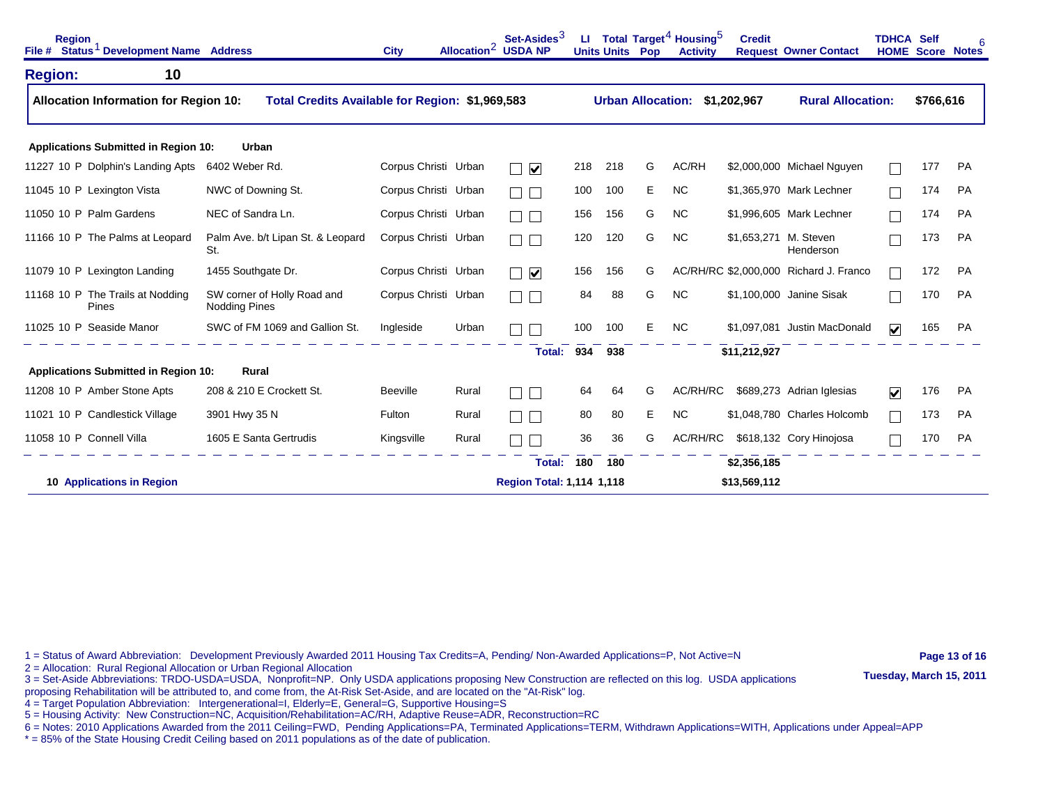| <b>Region</b><br>File # Status <sup>1</sup> Development Name Address |    |                                                     | <b>City</b>          | Allocation <sup>2</sup> | Set-Asides <sup>3</sup><br><b>USDA NP</b> | ш   | <b>Units Units Pop</b>   |   | Total Target <sup>4</sup> Housing <sup>5</sup><br><b>Activity</b> | <b>Credit</b>         | <b>Request Owner Contact</b>           | <b>TDHCA Self</b>       | <b>HOME Score Notes</b> |           |
|----------------------------------------------------------------------|----|-----------------------------------------------------|----------------------|-------------------------|-------------------------------------------|-----|--------------------------|---|-------------------------------------------------------------------|-----------------------|----------------------------------------|-------------------------|-------------------------|-----------|
| <b>Region:</b>                                                       | 10 |                                                     |                      |                         |                                           |     |                          |   |                                                                   |                       |                                        |                         |                         |           |
| <b>Allocation Information for Region 10:</b>                         |    | Total Credits Available for Region: \$1,969,583     |                      |                         |                                           |     | <b>Urban Allocation:</b> |   |                                                                   | \$1,202,967           | <b>Rural Allocation:</b>               |                         | \$766,616               |           |
| Applications Submitted in Region 10:                                 |    | Urban                                               |                      |                         |                                           |     |                          |   |                                                                   |                       |                                        |                         |                         |           |
| 11227 10 P Dolphin's Landing Apts                                    |    | 6402 Weber Rd.                                      | Corpus Christi Urban |                         | $\overline{\mathbf{v}}$                   | 218 | 218                      | G | AC/RH                                                             |                       | \$2,000,000 Michael Nguyen             |                         | 177                     | <b>PA</b> |
| 11045 10 P Lexington Vista                                           |    | NWC of Downing St.                                  | Corpus Christi Urban |                         |                                           | 100 | 100                      | Е | <b>NC</b>                                                         |                       | \$1,365,970 Mark Lechner               |                         | 174                     | PA        |
| 11050 10 P Palm Gardens                                              |    | NEC of Sandra Ln.                                   | Corpus Christi Urban |                         |                                           | 156 | 156                      | G | <b>NC</b>                                                         |                       | \$1,996,605 Mark Lechner               |                         | 174                     | <b>PA</b> |
| 11166 10 P The Palms at Leopard                                      |    | Palm Ave. b/t Lipan St. & Leopard<br>St.            | Corpus Christi Urban |                         |                                           | 120 | 120                      | G | <b>NC</b>                                                         | \$1,653,271 M. Steven | Henderson                              |                         | 173                     | <b>PA</b> |
| 11079 10 P Lexington Landing                                         |    | 1455 Southgate Dr.                                  | Corpus Christi Urban |                         | $\blacktriangledown$                      | 156 | 156                      | G |                                                                   |                       | AC/RH/RC \$2,000,000 Richard J. Franco |                         | 172                     | <b>PA</b> |
| 11168 10 P The Trails at Nodding<br>Pines                            |    | SW corner of Holly Road and<br><b>Nodding Pines</b> | Corpus Christi Urban |                         |                                           | 84  | 88                       | G | <b>NC</b>                                                         |                       | \$1,100,000 Janine Sisak               |                         | 170                     | PA        |
| 11025 10 P Seaside Manor                                             |    | SWC of FM 1069 and Gallion St.                      | Ingleside            | Urban                   |                                           | 100 | 100                      | E | <b>NC</b>                                                         |                       | \$1,097,081 Justin MacDonald           | $\overline{\mathbf{v}}$ | 165                     | <b>PA</b> |
|                                                                      |    |                                                     |                      |                         | Total:                                    | 934 | 938                      |   |                                                                   | \$11,212,927          |                                        |                         |                         |           |
| <b>Applications Submitted in Region 10:</b>                          |    | Rural                                               |                      |                         |                                           |     |                          |   |                                                                   |                       |                                        |                         |                         |           |
| 11208 10 P Amber Stone Apts                                          |    | 208 & 210 E Crockett St.                            | <b>Beeville</b>      | Rural                   |                                           | 64  | 64                       | G | AC/RH/RC                                                          |                       | \$689,273 Adrian Iglesias              | $\overline{\mathbf{v}}$ | 176                     | <b>PA</b> |
| 11021 10 P Candlestick Village                                       |    | 3901 Hwy 35 N                                       | Fulton               | Rural                   |                                           | 80  | 80                       | Е | <b>NC</b>                                                         |                       | \$1,048,780 Charles Holcomb            |                         | 173                     | <b>PA</b> |
| 11058 10 P Connell Villa                                             |    | 1605 E Santa Gertrudis                              | Kingsville           | Rural                   |                                           | 36  | 36                       | G | AC/RH/RC                                                          |                       | \$618,132 Cory Hinojosa                |                         | 170                     | <b>PA</b> |
|                                                                      |    |                                                     |                      |                         | Total:                                    | 180 | 180                      |   |                                                                   | \$2,356,185           |                                        |                         |                         |           |
| <b>10 Applications in Region</b>                                     |    |                                                     |                      |                         | <b>Region Total: 1,114 1,118</b>          |     |                          |   |                                                                   | \$13,569,112          |                                        |                         |                         |           |

1 = Status of Award Abbreviation: Development Previously Awarded 2011 Housing Tax Credits=A, Pending/ Non-Awarded Applications=P, Not Active=N **Page 13 of 16** 

2 = Allocation: Rural Regional Allocation or Urban Regional Allocation<br>3 = Set-Aside Abbreviations: TRDO-USDA=USDA, Nonprofit=NP. Only USDA applications proposing New Construction are reflected on this log. USDA applicatio

proposing Rehabilitation will be attributed to, and come from, the At-Risk Set-Aside, and are located on the "At-Risk" log.

4 = Target Population Abbreviation: Intergenerational=I, Elderly=E, General=G, Supportive Housing=S

5 = Housing Activity: New Construction=NC, Acquisition/Rehabilitation=AC/RH, Adaptive Reuse=ADR, Reconstruction=RC

6 = Notes: 2010 Applications Awarded from the 2011 Ceiling=FWD, Pending Applications=PA, Terminated Applications=TERM, Withdrawn Applications=WITH, Applications under Appeal=APP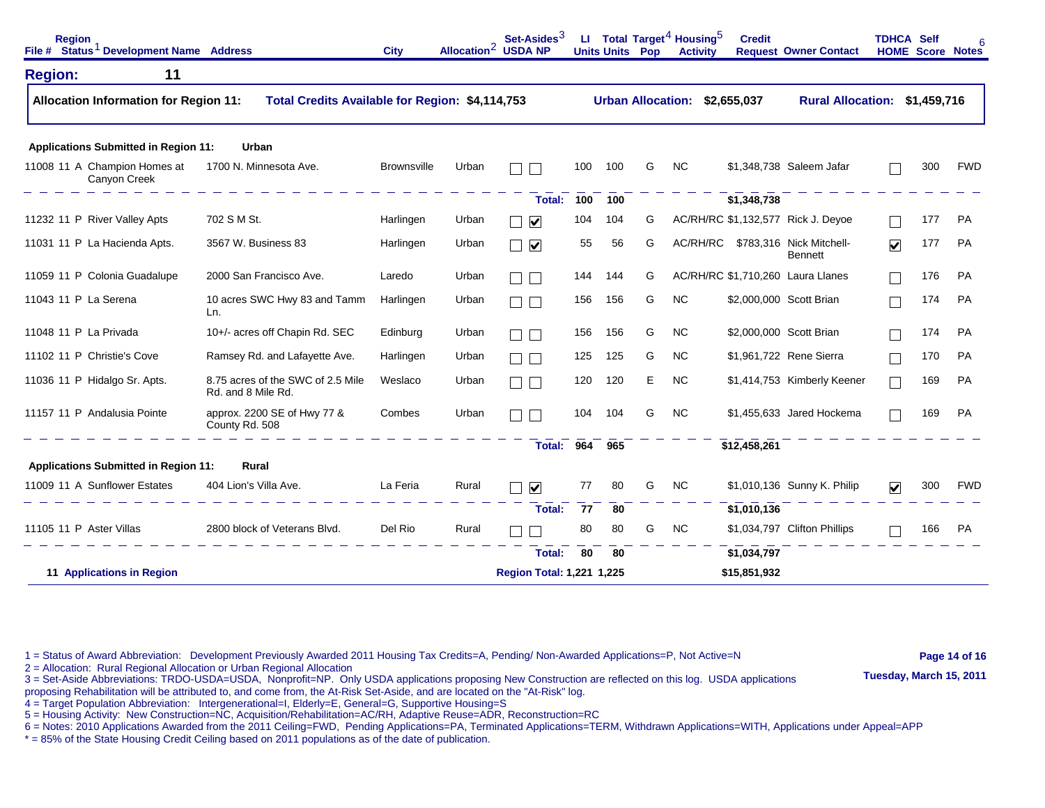| <b>Region</b><br>File # Status <sup>1</sup> Development Name Address |                                                         | <b>City</b>        |                           | Set-Asides $3$<br>Allocation <sup>2</sup> USDA NP | u.  | <b>Units Units Pop</b> |   | Total Target $^4$ Housing $^5$<br><b>Activity</b> | <b>Credit</b> | <b>Request Owner Contact</b>        | <b>TDHCA Self</b>               |             | <b>HOME Score Notes</b> |
|----------------------------------------------------------------------|---------------------------------------------------------|--------------------|---------------------------|---------------------------------------------------|-----|------------------------|---|---------------------------------------------------|---------------|-------------------------------------|---------------------------------|-------------|-------------------------|
| 11<br><b>Region:</b>                                                 |                                                         |                    |                           |                                                   |     |                        |   |                                                   |               |                                     |                                 |             |                         |
| <b>Allocation Information for Region 11:</b>                         | Total Credits Available for Region: \$4,114,753         |                    |                           |                                                   |     |                        |   | <b>Urban Allocation:</b>                          | \$2,655,037   | <b>Rural Allocation:</b>            |                                 | \$1,459,716 |                         |
| <b>Applications Submitted in Region 11:</b>                          | Urban                                                   |                    |                           |                                                   |     |                        |   |                                                   |               |                                     |                                 |             |                         |
| 11008 11 A Champion Homes at<br>Canyon Creek                         | 1700 N. Minnesota Ave.                                  | <b>Brownsville</b> | Urban                     |                                                   | 100 | 100                    | G | <b>NC</b>                                         |               | \$1,348,738 Saleem Jafar            |                                 | 300         | <b>FWD</b>              |
|                                                                      |                                                         |                    |                           | Total:                                            | 100 | 100                    |   |                                                   | \$1,348,738   |                                     |                                 |             |                         |
| 11232 11 P River Valley Apts                                         | 702 S M St.                                             | Harlingen          | Urban                     | $\blacktriangledown$                              | 104 | 104                    | G |                                                   |               | AC/RH/RC \$1,132,577 Rick J. Deyoe  |                                 | 177         | PA                      |
| 11031 11 P La Hacienda Apts.                                         | 3567 W. Business 83                                     | Harlingen          | Urban                     | $\blacktriangledown$                              | 55  | 56                     | G | AC/RH/RC                                          |               | \$783,316 Nick Mitchell-<br>Bennett | $\overline{\blacktriangledown}$ | 177         | PA                      |
| 11059 11 P Colonia Guadalupe                                         | 2000 San Francisco Ave.                                 | Laredo             | Urban                     |                                                   | 144 | 144                    | G |                                                   |               | AC/RH/RC \$1,710,260 Laura Llanes   |                                 | 176         | <b>PA</b>               |
| 11043 11 P La Serena                                                 | 10 acres SWC Hwy 83 and Tamm<br>Ln.                     | Harlingen          | Urban                     |                                                   | 156 | 156                    | G | <b>NC</b>                                         |               | \$2,000,000 Scott Brian             |                                 | 174         | <b>PA</b>               |
| 11048 11 P La Privada                                                | 10+/- acres off Chapin Rd. SEC                          | Edinburg           | Urban                     |                                                   | 156 | 156                    | G | <b>NC</b>                                         |               | \$2,000,000 Scott Brian             |                                 | 174         | PA                      |
| 11102 11 P Christie's Cove                                           | Ramsey Rd. and Lafayette Ave.                           | Harlingen          | Urban                     |                                                   | 125 | 125                    | G | <b>NC</b>                                         |               | \$1,961,722 Rene Sierra             |                                 | 170         | <b>PA</b>               |
| 11036 11 P Hidalgo Sr. Apts.                                         | 8.75 acres of the SWC of 2.5 Mile<br>Rd. and 8 Mile Rd. | Weslaco            | Urban                     |                                                   | 120 | 120                    | Е | <b>NC</b>                                         |               | \$1,414,753 Kimberly Keener         |                                 | 169         | PA                      |
| 11157 11 P Andalusia Pointe                                          | approx. 2200 SE of Hwy 77 &<br>County Rd. 508           | Combes             | Urban                     |                                                   | 104 | 104                    | G | <b>NC</b>                                         |               | \$1,455,633 Jared Hockema           |                                 | 169         | PA                      |
|                                                                      |                                                         |                    |                           | Total:                                            | 964 | 965                    |   |                                                   | \$12,458,261  |                                     |                                 |             |                         |
| <b>Applications Submitted in Region 11:</b>                          | Rural                                                   |                    |                           |                                                   |     |                        |   |                                                   |               |                                     |                                 |             |                         |
| 11009 11 A Sunflower Estates                                         | 404 Lion's Villa Ave.                                   | La Feria           | Rural                     | $\blacktriangledown$                              | 77  | 80                     | G | NC.                                               |               | \$1,010,136 Sunny K. Philip         | ✓                               | 300         | <b>FWD</b>              |
|                                                                      |                                                         |                    |                           | Total:                                            | 77  | 80                     |   |                                                   | \$1,010,136   |                                     |                                 |             |                         |
| 11105 11 P Aster Villas                                              | 2800 block of Veterans Blvd.                            | Del Rio            | Rural                     |                                                   | 80  | 80                     | G | NC.                                               |               | \$1,034,797 Clifton Phillips        |                                 | 166         | <b>PA</b>               |
|                                                                      |                                                         |                    |                           | Total:                                            | 80  | 80                     |   |                                                   | \$1,034,797   |                                     |                                 |             |                         |
| 11 Applications in Region                                            |                                                         |                    | Region Total: 1,221 1,225 |                                                   |     |                        |   | \$15,851,932                                      |               |                                     |                                 |             |                         |

1 = Status of Award Abbreviation: Development Previously Awarded 2011 Housing Tax Credits=A, Pending/ Non-Awarded Applications=P, Not Active=N **Page 14 of 16** 

2 = Allocation: Rural Regional Allocation or Urban Regional Allocation<br>3 = Set-Aside Abbreviations: TRDO-USDA=USDA, Nonprofit=NP. Only USDA applications proposing New Construction are reflected on this log. USDA applicatio proposing Rehabilitation will be attributed to, and come from, the At-Risk Set-Aside, and are located on the "At-Risk" log.

4 = Target Population Abbreviation: Intergenerational=I, Elderly=E, General=G, Supportive Housing=S

5 = Housing Activity: New Construction=NC, Acquisition/Rehabilitation=AC/RH, Adaptive Reuse=ADR, Reconstruction=RC

6 = Notes: 2010 Applications Awarded from the 2011 Ceiling=FWD, Pending Applications=PA, Terminated Applications=TERM, Withdrawn Applications=WITH, Applications under Appeal=APP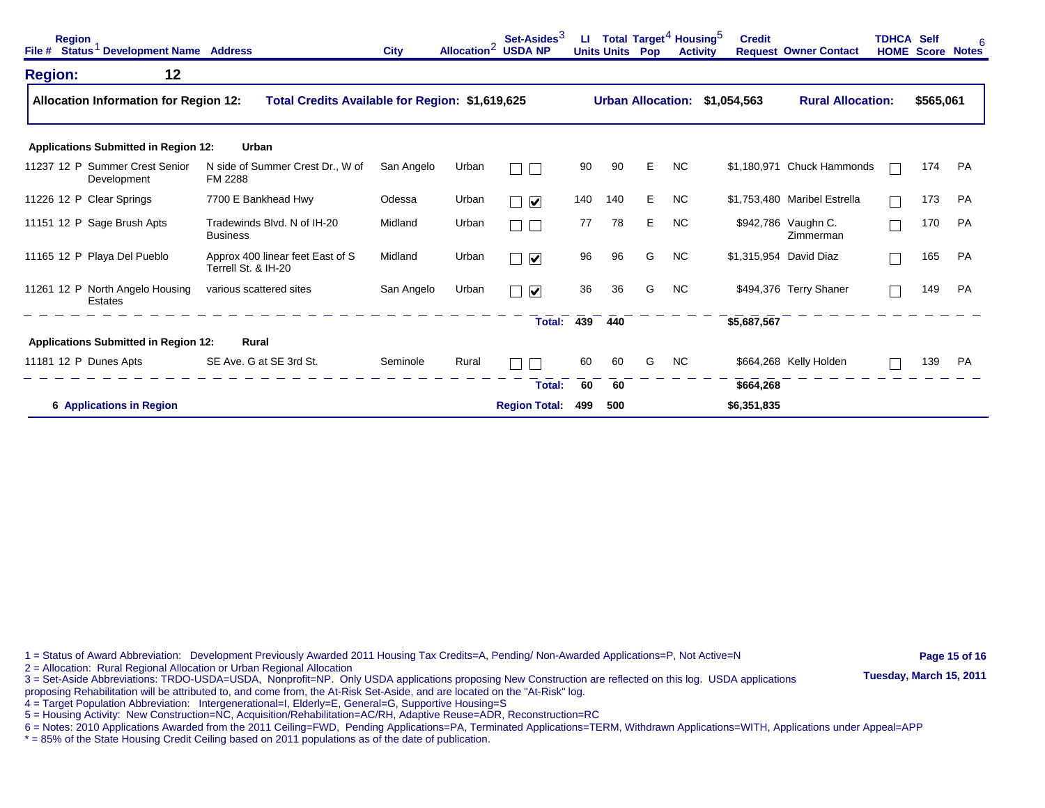| <b>Region</b><br>File # | Status <sup>1</sup> Development Name Address  |                                                         | <b>City</b> |       | Set-Asides <sup>3</sup><br>Allocation <sup>2</sup> USDA NP | ы   | Total Target <sup>4</sup> Housing <sup>5</sup><br><b>Units Units Pop</b> |    | <b>Activity</b> | <b>Credit</b> | <b>Request Owner Contact</b>     | <b>TDHCA Self</b> | <b>HOME Score</b> | 6<br><b>Notes</b> |
|-------------------------|-----------------------------------------------|---------------------------------------------------------|-------------|-------|------------------------------------------------------------|-----|--------------------------------------------------------------------------|----|-----------------|---------------|----------------------------------|-------------------|-------------------|-------------------|
| <b>Region:</b>          | 12                                            |                                                         |             |       |                                                            |     |                                                                          |    |                 |               |                                  |                   |                   |                   |
|                         | <b>Allocation Information for Region 12:</b>  | Total Credits Available for Region: \$1,619,625         |             |       |                                                            |     | <b>Urban Allocation:</b>                                                 |    |                 | \$1,054,563   | <b>Rural Allocation:</b>         |                   | \$565,061         |                   |
|                         | <b>Applications Submitted in Region 12:</b>   | Urban                                                   |             |       |                                                            |     |                                                                          |    |                 |               |                                  |                   |                   |                   |
|                         | 11237 12 P Summer Crest Senior<br>Development | N side of Summer Crest Dr., W of<br>FM 2288             | San Angelo  | Urban |                                                            | 90  | 90                                                                       | Е  | <b>NC</b>       |               | \$1,180,971 Chuck Hammonds       |                   | 174               | <b>PA</b>         |
|                         | 11226 12 P Clear Springs                      | 7700 E Bankhead Hwy                                     | Odessa      | Urban | $\blacktriangledown$                                       | 140 | 140                                                                      | E. | <b>NC</b>       |               | \$1,753,480 Maribel Estrella     |                   | 173               | <b>PA</b>         |
|                         | 11151 12 P Sage Brush Apts                    | Tradewinds Blvd. N of IH-20<br><b>Business</b>          | Midland     | Urban | L                                                          | 77  | 78                                                                       | Е  | NC.             |               | \$942,786 Vaughn C.<br>Zimmerman |                   | 170               | PA                |
|                         | 11165 12 P Playa Del Pueblo                   | Approx 400 linear feet East of S<br>Terrell St. & IH-20 | Midland     | Urban | $\overline{\mathbf{v}}$                                    | 96  | 96                                                                       | G  | <b>NC</b>       |               | \$1,315,954 David Diaz           |                   | 165               | PA                |
|                         | 11261 12 P North Angelo Housing<br>Estates    | various scattered sites                                 | San Angelo  | Urban | $\overline{\mathbf{v}}$                                    | 36  | 36                                                                       | G  | <b>NC</b>       |               | \$494,376 Terry Shaner           |                   | 149               | <b>PA</b>         |
|                         |                                               |                                                         |             |       | Total:                                                     | 439 | 440                                                                      |    |                 | \$5,687,567   |                                  |                   |                   |                   |
|                         | <b>Applications Submitted in Region 12:</b>   | Rural                                                   |             |       |                                                            |     |                                                                          |    |                 |               |                                  |                   |                   |                   |
| 11181 12 P Dunes Apts   |                                               | SE Ave. G at SE 3rd St.                                 | Seminole    | Rural |                                                            | 60  | 60                                                                       | G  | <b>NC</b>       |               | \$664,268 Kelly Holden           |                   | 139               | PA                |
|                         |                                               |                                                         |             |       | Total:                                                     | 60  | 60                                                                       |    |                 | \$664,268     |                                  |                   |                   |                   |
|                         | <b>6 Applications in Region</b>               |                                                         |             |       | <b>Region Total:</b>                                       | 499 | 500                                                                      |    |                 | \$6,351,835   |                                  |                   |                   |                   |

1 = Status of Award Abbreviation: Development Previously Awarded 2011 Housing Tax Credits=A, Pending/ Non-Awarded Applications=P, Not Active=N **Page 15 of 16** 

2 = Allocation: Rural Regional Allocation or Urban Regional Allocation<br>3 = Set-Aside Abbreviations: TRDO-USDA=USDA, Nonprofit=NP. Only USDA applications proposing New Construction are reflected on this log. USDA applicatio

proposing Rehabilitation will be attributed to, and come from, the At-Risk Set-Aside, and are located on the "At-Risk" log.

4 = Target Population Abbreviation: Intergenerational=I, Elderly=E, General=G, Supportive Housing=S

5 = Housing Activity: New Construction=NC, Acquisition/Rehabilitation=AC/RH, Adaptive Reuse=ADR, Reconstruction=RC

6 = Notes: 2010 Applications Awarded from the 2011 Ceiling=FWD, Pending Applications=PA, Terminated Applications=TERM, Withdrawn Applications=WITH, Applications under Appeal=APP